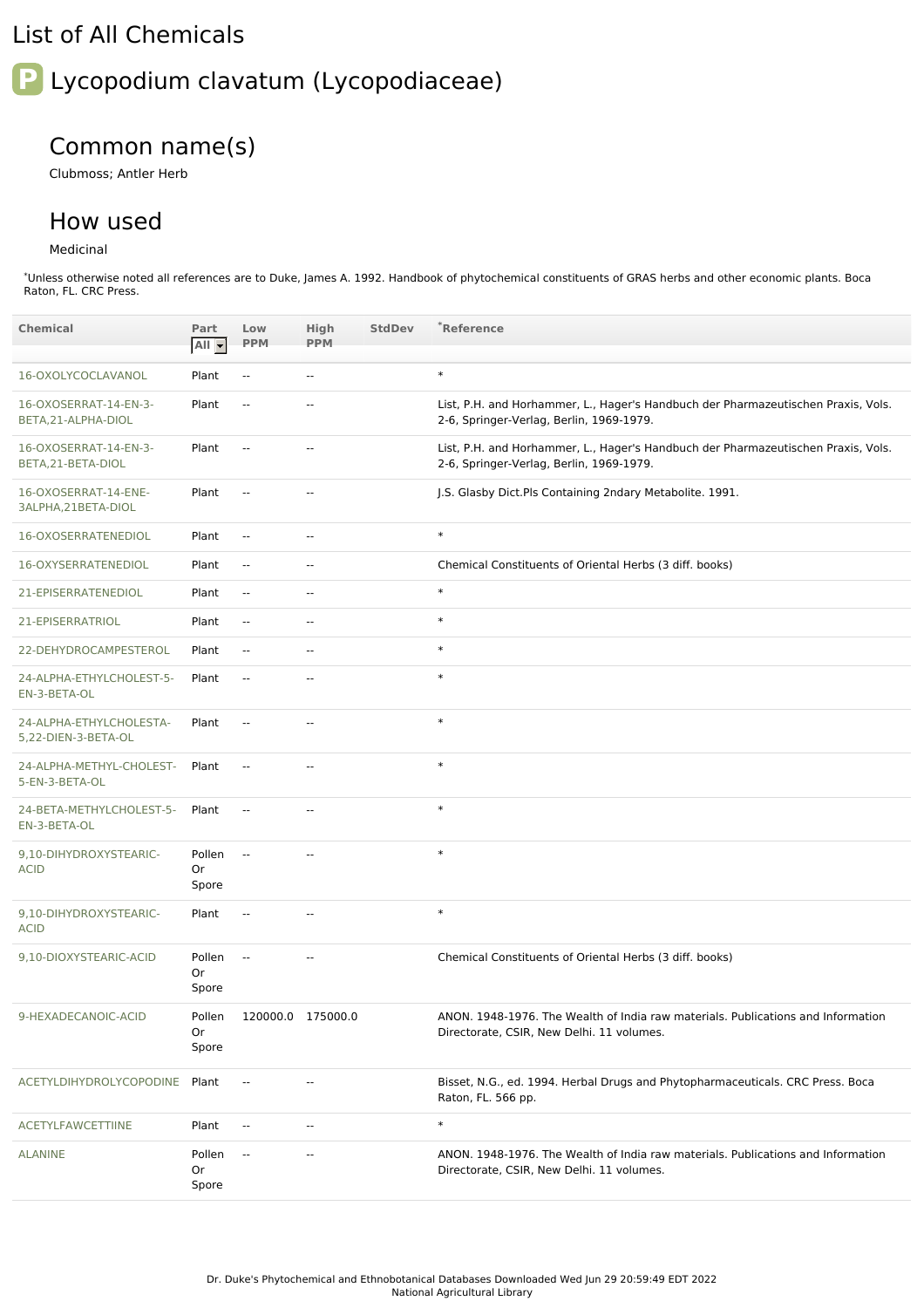## List of All Chemicals

# **P** Lycopodium clavatum (Lycopodiaceae)

# Common name(s)

Clubmoss; Antler Herb

## How used

#### Medicinal

\*Unless otherwise noted all references are to Duke, James A. 1992. Handbook of phytochemical constituents of GRAS herbs and other economic plants. Boca Raton, FL. CRC Press.

| <b>Chemical</b>                                | Part<br>All -         | Low<br><b>PPM</b>        | High<br><b>PPM</b>       | <b>StdDev</b> | *Reference                                                                                                                    |
|------------------------------------------------|-----------------------|--------------------------|--------------------------|---------------|-------------------------------------------------------------------------------------------------------------------------------|
| 16-OXOLYCOCLAVANOL                             | Plant                 | $\overline{\phantom{a}}$ | $\overline{\phantom{a}}$ |               | $\ast$                                                                                                                        |
| 16-OXOSERRAT-14-EN-3-<br>BETA, 21-ALPHA-DIOL   | Plant                 | $\overline{\phantom{a}}$ | $\overline{a}$           |               | List, P.H. and Horhammer, L., Hager's Handbuch der Pharmazeutischen Praxis, Vols.<br>2-6, Springer-Verlag, Berlin, 1969-1979. |
| 16-OXOSERRAT-14-EN-3-<br>BETA, 21-BETA-DIOL    | Plant                 | $\overline{\phantom{a}}$ | $\overline{\phantom{a}}$ |               | List, P.H. and Horhammer, L., Hager's Handbuch der Pharmazeutischen Praxis, Vols.<br>2-6, Springer-Verlag, Berlin, 1969-1979. |
| 16-OXOSERRAT-14-ENE-<br>3ALPHA, 21BETA-DIOL    | Plant                 | $\overline{\phantom{a}}$ | $\overline{\phantom{a}}$ |               | J.S. Glasby Dict.Pls Containing 2ndary Metabolite. 1991.                                                                      |
| 16-OXOSERRATENEDIOL                            | Plant                 | $\overline{a}$           | $\overline{a}$           |               | $\ast$                                                                                                                        |
| 16-OXYSERRATENEDIOL                            | Plant                 | $\overline{\phantom{a}}$ | $\overline{\phantom{a}}$ |               | Chemical Constituents of Oriental Herbs (3 diff. books)                                                                       |
| 21-EPISERRATENEDIOL                            | Plant                 | Ξ.                       | $\overline{\phantom{a}}$ |               | $\ast$                                                                                                                        |
| 21-EPISERRATRIOL                               | Plant                 | Ξ.                       | $\sim$ $\sim$            |               | $\ast$                                                                                                                        |
| 22-DEHYDROCAMPESTEROL                          | Plant                 | Ξ.                       | $\sim$ $\sim$            |               | $\ast$                                                                                                                        |
| 24-ALPHA-ETHYLCHOLEST-5-<br>EN-3-BETA-OL       | Plant                 | $\overline{\phantom{a}}$ | $\overline{\phantom{a}}$ |               | $\ast$                                                                                                                        |
| 24-ALPHA-ETHYLCHOLESTA-<br>5,22-DIEN-3-BETA-OL | Plant                 | $\overline{\phantom{a}}$ | $\overline{\phantom{a}}$ |               | $\ast$                                                                                                                        |
| 24-ALPHA-METHYL-CHOLEST-<br>5-EN-3-BETA-OL     | Plant                 | $\overline{\phantom{a}}$ | $\overline{a}$           |               | $\ast$                                                                                                                        |
| 24-BETA-METHYLCHOLEST-5-<br>EN-3-BETA-OL       | Plant                 | Ξ.                       | $\overline{\phantom{a}}$ |               | $\ast$                                                                                                                        |
| 9,10-DIHYDROXYSTEARIC-<br><b>ACID</b>          | Pollen<br>Or<br>Spore | Ξ.                       | $\overline{\phantom{a}}$ |               | $\ast$                                                                                                                        |
| 9.10-DIHYDROXYSTEARIC-<br><b>ACID</b>          | Plant                 | $\overline{\phantom{a}}$ | $\overline{\phantom{a}}$ |               | $\ast$                                                                                                                        |
| 9,10-DIOXYSTEARIC-ACID                         | Pollen<br>Or<br>Spore | Ξ.                       | $\overline{\phantom{a}}$ |               | Chemical Constituents of Oriental Herbs (3 diff. books)                                                                       |
| 9-HEXADECANOIC-ACID                            | Pollen<br>Or<br>Spore |                          | 120000.0 175000.0        |               | ANON. 1948-1976. The Wealth of India raw materials. Publications and Information<br>Directorate, CSIR, New Delhi. 11 volumes. |
| ACETYLDIHYDROLYCOPODINE                        | Plant                 | $\overline{\phantom{a}}$ | $\overline{\phantom{a}}$ |               | Bisset, N.G., ed. 1994. Herbal Drugs and Phytopharmaceuticals. CRC Press. Boca<br>Raton, FL. 566 pp.                          |
| <b>ACETYLFAWCETTIINE</b>                       | Plant                 | $\overline{\phantom{a}}$ | $\overline{\phantom{a}}$ |               | $\ast$                                                                                                                        |
| <b>ALANINE</b>                                 | Pollen<br>Or<br>Spore | $\sim$                   |                          |               | ANON. 1948-1976. The Wealth of India raw materials. Publications and Information<br>Directorate, CSIR, New Delhi. 11 volumes. |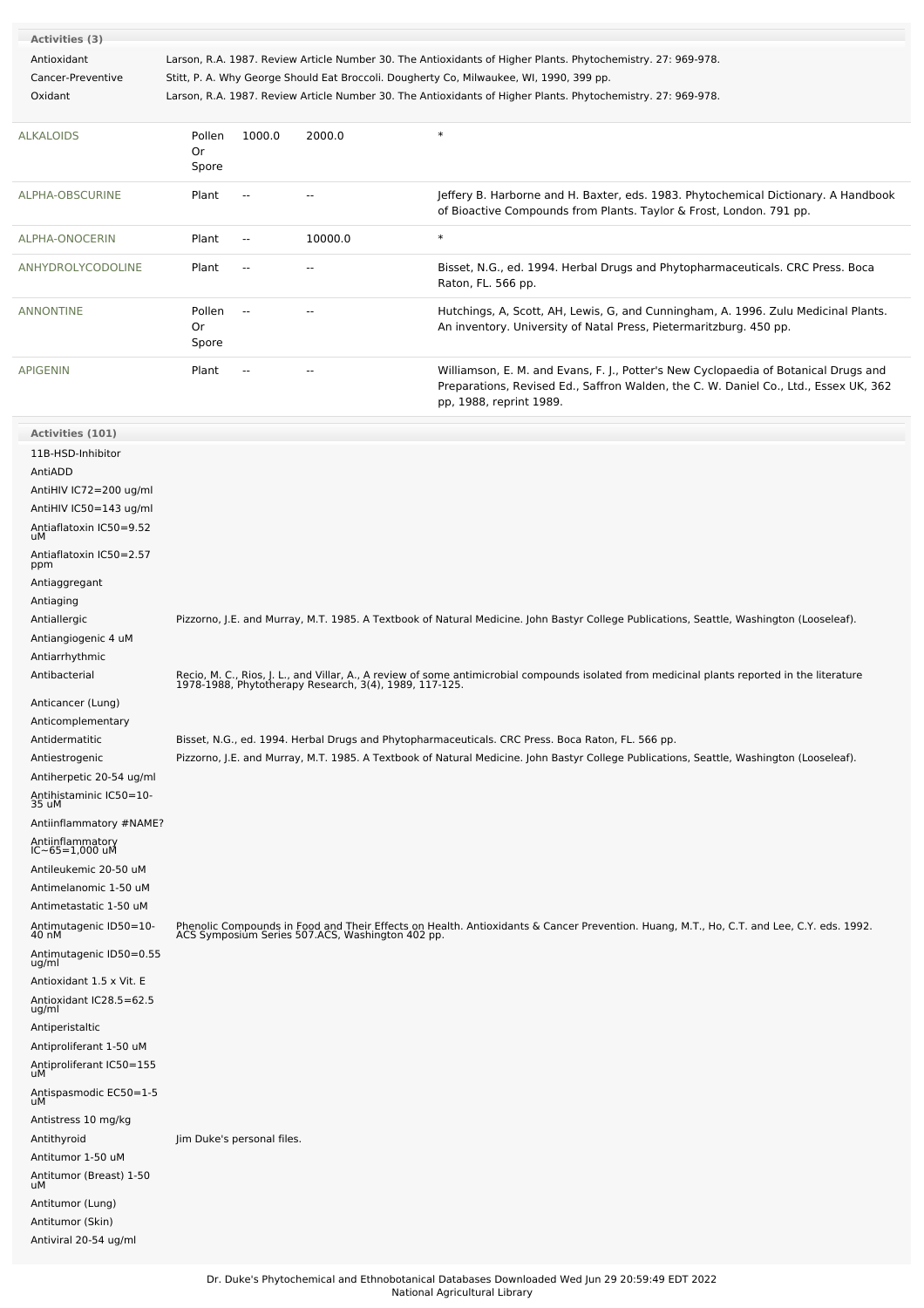| Activities (3)    |                       |                |         |                                                                                                                                                           |
|-------------------|-----------------------|----------------|---------|-----------------------------------------------------------------------------------------------------------------------------------------------------------|
| Antioxidant       |                       |                |         | Larson, R.A. 1987. Review Article Number 30. The Antioxidants of Higher Plants. Phytochemistry. 27: 969-978.                                              |
| Cancer-Preventive |                       |                |         | Stitt, P. A. Why George Should Eat Broccoli. Dougherty Co, Milwaukee, WI, 1990, 399 pp.                                                                   |
| Oxidant           |                       |                |         | Larson, R.A. 1987. Review Article Number 30. The Antioxidants of Higher Plants. Phytochemistry. 27: 969-978.                                              |
| <b>ALKALOIDS</b>  | Pollen<br>0r<br>Spore | 1000.0         | 2000.0  | $\ast$                                                                                                                                                    |
| ALPHA-OBSCURINE   | Plant                 |                | --      | Jeffery B. Harborne and H. Baxter, eds. 1983. Phytochemical Dictionary. A Handbook<br>of Bioactive Compounds from Plants. Taylor & Frost, London. 791 pp. |
| ALPHA-ONOCERIN    | Plant                 | $\overline{a}$ | 10000.0 | $\ast$                                                                                                                                                    |
| ANHYDROLYCODOLINE | Plant                 | $\overline{a}$ | --      | Bisset, N.G., ed. 1994. Herbal Drugs and Phytopharmaceuticals. CRC Press. Boca<br>Raton, FL. 566 pp.                                                      |

[ANNONTINE](file:///phytochem/chemicals/show/27610) Pollen

Or Spore

[APIGENIN](file:///phytochem/chemicals/show/3936) Plant -- - - - Williamson, E. M. and Evans, F. J., Potter's New Cyclopaedia of Botanical Drugs and Preparations, Revised Ed., Saffron Walden, the C. W. Daniel Co., Ltd., Essex UK, 362 pp, 1988, reprint 1989.

An inventory. University of Natal Press, Pietermaritzburg. 450 pp.

-- -- Hutchings, A, Scott, AH, Lewis, G, and Cunningham, A. 1996. Zulu Medicinal Plants.

| <b>Activities (101)</b>            |                                                                                                                                                                                                         |
|------------------------------------|---------------------------------------------------------------------------------------------------------------------------------------------------------------------------------------------------------|
| 11B-HSD-Inhibitor                  |                                                                                                                                                                                                         |
| AntiADD                            |                                                                                                                                                                                                         |
| AntiHIV IC72=200 ug/ml             |                                                                                                                                                                                                         |
| AntiHIV IC50=143 ug/ml             |                                                                                                                                                                                                         |
| Antiaflatoxin IC50=9.52<br>uМ      |                                                                                                                                                                                                         |
| Antiaflatoxin IC50=2.57<br>ppm     |                                                                                                                                                                                                         |
| Antiaggregant                      |                                                                                                                                                                                                         |
| Antiaging                          |                                                                                                                                                                                                         |
| Antiallergic                       | Pizzorno, J.E. and Murray, M.T. 1985. A Textbook of Natural Medicine. John Bastyr College Publications, Seattle, Washington (Looseleaf).                                                                |
| Antiangiogenic 4 uM                |                                                                                                                                                                                                         |
| Antiarrhythmic                     |                                                                                                                                                                                                         |
| Antibacterial                      | Recio, M. C., Rios, J. L., and Villar, A., A review of some antimicrobial compounds isolated from medicinal plants reported in the literature<br>1978-1988, Phytotherapy Research, 3(4), 1989, 117-125. |
| Anticancer (Lung)                  |                                                                                                                                                                                                         |
| Anticomplementary                  |                                                                                                                                                                                                         |
| Antidermatitic                     | Bisset, N.G., ed. 1994. Herbal Drugs and Phytopharmaceuticals. CRC Press. Boca Raton, FL. 566 pp.                                                                                                       |
| Antiestrogenic                     | Pizzorno, J.E. and Murray, M.T. 1985. A Textbook of Natural Medicine. John Bastyr College Publications, Seattle, Washington (Looseleaf).                                                                |
| Antiherpetic 20-54 ug/ml           |                                                                                                                                                                                                         |
| Antihistaminic IC50=10-<br>35 uM   |                                                                                                                                                                                                         |
| Antiinflammatory #NAME?            |                                                                                                                                                                                                         |
| Antiinflammatory<br>IC~65=1,000 uM |                                                                                                                                                                                                         |
| Antileukemic 20-50 uM              |                                                                                                                                                                                                         |
| Antimelanomic 1-50 uM              |                                                                                                                                                                                                         |
| Antimetastatic 1-50 uM             |                                                                                                                                                                                                         |
| Antimutagenic ID50=10-<br>40 nM    | Phenolic Compounds in Food and Their Effects on Health. Antioxidants & Cancer Prevention. Huang, M.T., Ho, C.T. and Lee, C.Y. eds. 1992.<br>ACS Symposium Series 507.ACS, Washington 402 pp.            |
| Antimutagenic ID50=0.55<br>ug/ml   |                                                                                                                                                                                                         |
| Antioxidant 1.5 x Vit. E           |                                                                                                                                                                                                         |
| Antioxidant IC28.5=62.5<br>ug/ml   |                                                                                                                                                                                                         |
| Antiperistaltic                    |                                                                                                                                                                                                         |
| Antiproliferant 1-50 uM            |                                                                                                                                                                                                         |
| Antiproliferant IC50=155<br>uМ     |                                                                                                                                                                                                         |
| Antispasmodic EC50=1-5<br>uМ       |                                                                                                                                                                                                         |
| Antistress 10 mg/kg                |                                                                                                                                                                                                         |
| Antithyroid                        | Jim Duke's personal files.                                                                                                                                                                              |
| Antitumor 1-50 uM                  |                                                                                                                                                                                                         |
| Antitumor (Breast) 1-50<br>uМ      |                                                                                                                                                                                                         |
| Antitumor (Lung)                   |                                                                                                                                                                                                         |
| Antitumor (Skin)                   |                                                                                                                                                                                                         |
| Antiviral 20-54 ug/ml              |                                                                                                                                                                                                         |
|                                    |                                                                                                                                                                                                         |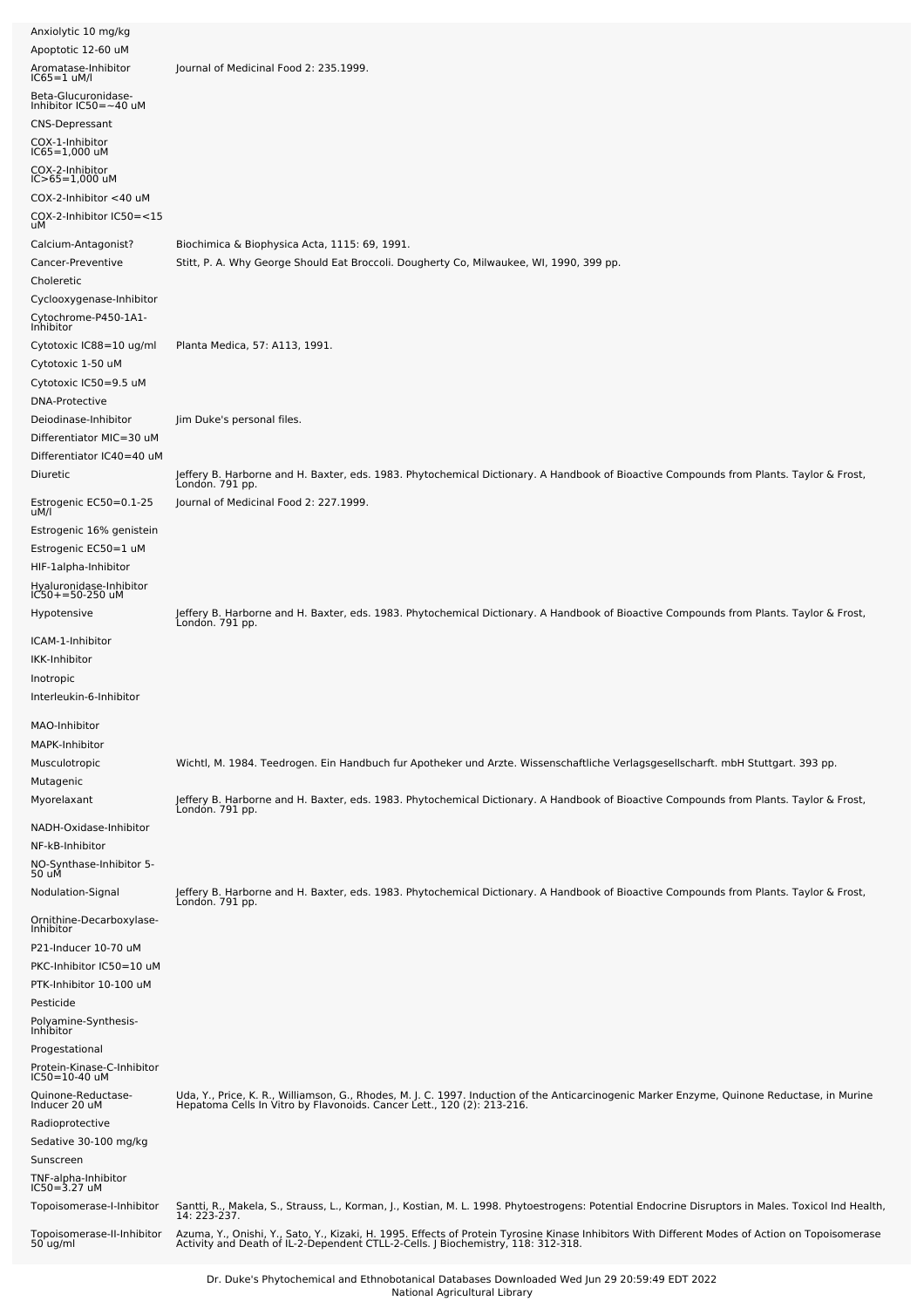| Anxiolytic 10 mg/kg                                 |                                                                                                                                                                                                                                   |
|-----------------------------------------------------|-----------------------------------------------------------------------------------------------------------------------------------------------------------------------------------------------------------------------------------|
| Apoptotic 12-60 uM                                  |                                                                                                                                                                                                                                   |
| Aromatase-Inhibitor<br>$IC65 = 1$ uM/l              | Journal of Medicinal Food 2: 235.1999.                                                                                                                                                                                            |
| Beta-Glucuronidase-<br>Inhibitor IC50=~40 uM        |                                                                                                                                                                                                                                   |
| <b>CNS-Depressant</b>                               |                                                                                                                                                                                                                                   |
| COX-1-Inhibitor<br>$IC65 = 1,000$ uM                |                                                                                                                                                                                                                                   |
| COX-2-Inhibitor                                     |                                                                                                                                                                                                                                   |
| $IC > 65 = 1,000$ uM<br>COX-2-Inhibitor <40 uM      |                                                                                                                                                                                                                                   |
| COX-2-Inhibitor IC50=<15                            |                                                                                                                                                                                                                                   |
| uМ<br>Calcium-Antagonist?                           | Biochimica & Biophysica Acta, 1115: 69, 1991.                                                                                                                                                                                     |
| Cancer-Preventive                                   | Stitt, P. A. Why George Should Eat Broccoli. Dougherty Co, Milwaukee, WI, 1990, 399 pp.                                                                                                                                           |
| Choleretic                                          |                                                                                                                                                                                                                                   |
| Cyclooxygenase-Inhibitor                            |                                                                                                                                                                                                                                   |
| Cytochrome-P450-1A1-<br>Inhibitor                   |                                                                                                                                                                                                                                   |
| Cytotoxic IC88=10 ug/ml                             | Planta Medica, 57: A113, 1991.                                                                                                                                                                                                    |
| Cytotoxic 1-50 uM                                   |                                                                                                                                                                                                                                   |
| Cytotoxic IC50=9.5 uM<br>DNA-Protective             |                                                                                                                                                                                                                                   |
| Deiodinase-Inhibitor                                | Jim Duke's personal files.                                                                                                                                                                                                        |
| Differentiator MIC=30 uM                            |                                                                                                                                                                                                                                   |
| Differentiator IC40=40 uM                           |                                                                                                                                                                                                                                   |
| Diuretic                                            | Jeffery B. Harborne and H. Baxter, eds. 1983. Phytochemical Dictionary. A Handbook of Bioactive Compounds from Plants. Taylor & Frost,<br>Londón. 791 pp.                                                                         |
| Estrogenic EC50=0.1-25<br>uM/l                      | Journal of Medicinal Food 2: 227.1999.                                                                                                                                                                                            |
| Estrogenic 16% genistein                            |                                                                                                                                                                                                                                   |
| Estrogenic EC50=1 uM<br>HIF-1alpha-Inhibitor        |                                                                                                                                                                                                                                   |
| Hyaluronidase-Inhibitor                             |                                                                                                                                                                                                                                   |
| $IC50+ = 50-250$ uM                                 |                                                                                                                                                                                                                                   |
| Hypotensive                                         | Jeffery B. Harborne and H. Baxter, eds. 1983. Phytochemical Dictionary. A Handbook of Bioactive Compounds from Plants. Taylor & Frost,<br>London. 791 pp.                                                                         |
| ICAM-1-Inhibitor<br>IKK-Inhibitor                   |                                                                                                                                                                                                                                   |
| Inotropic                                           |                                                                                                                                                                                                                                   |
| Interleukin-6-Inhibitor                             |                                                                                                                                                                                                                                   |
| MAO-Inhibitor                                       |                                                                                                                                                                                                                                   |
| MAPK-Inhibitor                                      |                                                                                                                                                                                                                                   |
| Musculotropic                                       | Wichtl, M. 1984. Teedrogen. Ein Handbuch fur Apotheker und Arzte. Wissenschaftliche Verlagsgesellscharft. mbH Stuttgart. 393 pp.                                                                                                  |
| Mutagenic                                           |                                                                                                                                                                                                                                   |
| Myorelaxant                                         | Jeffery B. Harborne and H. Baxter, eds. 1983. Phytochemical Dictionary. A Handbook of Bioactive Compounds from Plants. Taylor & Frost,<br>London. 791 pp.                                                                         |
| NADH-Oxidase-Inhibitor                              |                                                                                                                                                                                                                                   |
| NF-kB-Inhibitor<br>NO-Synthase-Inhibitor 5-         |                                                                                                                                                                                                                                   |
| 50 uM                                               |                                                                                                                                                                                                                                   |
| Nodulation-Signal                                   | Jeffery B. Harborne and H. Baxter, eds. 1983. Phytochemical Dictionary. A Handbook of Bioactive Compounds from Plants. Taylor & Frost,<br>London. 791 pp.                                                                         |
| Ornithine-Decarboxylase-<br>Inhibitor               |                                                                                                                                                                                                                                   |
| P21-Inducer 10-70 uM                                |                                                                                                                                                                                                                                   |
| PKC-Inhibitor IC50=10 uM<br>PTK-Inhibitor 10-100 uM |                                                                                                                                                                                                                                   |
| Pesticide                                           |                                                                                                                                                                                                                                   |
| Polyamine-Synthesis-<br>Inhibitor                   |                                                                                                                                                                                                                                   |
| Progestational                                      |                                                                                                                                                                                                                                   |
| Protein-Kinase-C-Inhibitor<br>IC50=10-40 uM         |                                                                                                                                                                                                                                   |
| Quinone-Reductase-<br>Inducer 20 uM                 | Uda, Y., Price, K. R., Williamson, G., Rhodes, M. J. C. 1997. Induction of the Anticarcinogenic Marker Enzyme, Quinone Reductase, in Murine<br>Hepatoma Cells In Vitro by Flavonoids. Cancer Lett., 120 (2): 213-216.             |
| Radioprotective                                     |                                                                                                                                                                                                                                   |
| Sedative 30-100 mg/kg                               |                                                                                                                                                                                                                                   |
| Sunscreen                                           |                                                                                                                                                                                                                                   |
| TNF-alpha-Inhibitor<br>$IC50 = 3.27$ uM             |                                                                                                                                                                                                                                   |
| Topoisomerase-I-Inhibitor                           | Santti, R., Makela, S., Strauss, L., Korman, J., Kostian, M. L. 1998. Phytoestrogens: Potential Endocrine Disruptors in Males. Toxicol Ind Health,<br>14: 223-237.                                                                |
| Topoisomerase-II-Inhibitor<br>50 ug/ml              | Azuma, Y., Onishi, Y., Sato, Y., Kizaki, H. 1995. Effects of Protein Tyrosine Kinase Inhibitors With Different Modes of Action on Topoisomerase<br>Activity and Death of IL-2-Dependent CTLL-2-Cells. J Biochemistry, 118: 312-31 |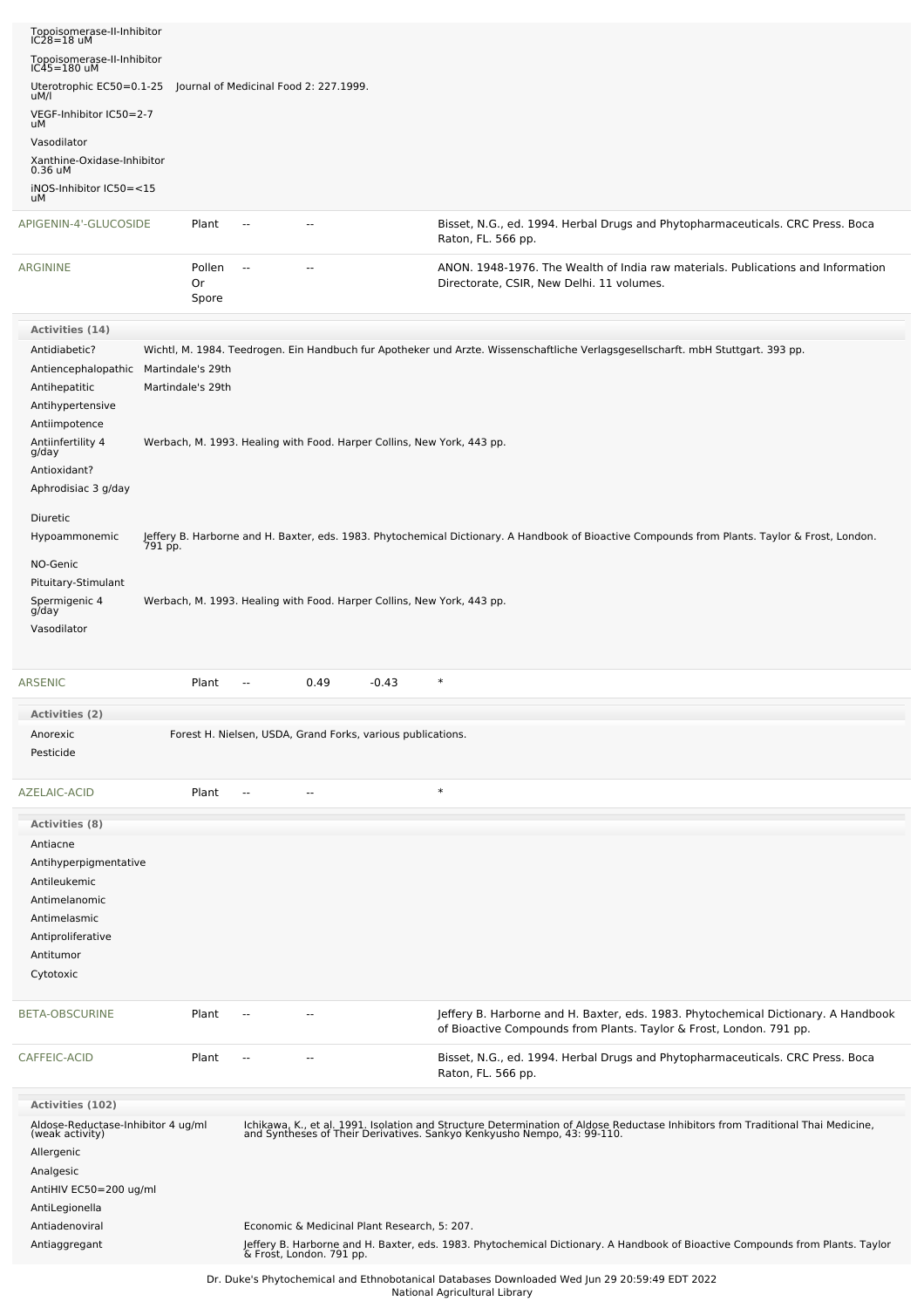| Topoisomerase-II-Inhibitor<br>$IC28=18$ uM                                       |                                        |                                        |                                                                        |                                                                                                                                                                                                            |
|----------------------------------------------------------------------------------|----------------------------------------|----------------------------------------|------------------------------------------------------------------------|------------------------------------------------------------------------------------------------------------------------------------------------------------------------------------------------------------|
| Topoisomerase-II-Inhibitor<br>$IC45 = 180$ uM                                    |                                        |                                        |                                                                        |                                                                                                                                                                                                            |
| Uterotrophic EC50=0.1-25                                                         |                                        | Journal of Medicinal Food 2: 227.1999. |                                                                        |                                                                                                                                                                                                            |
| uM/l<br>VEGF-Inhibitor IC50=2-7                                                  |                                        |                                        |                                                                        |                                                                                                                                                                                                            |
| uМ                                                                               |                                        |                                        |                                                                        |                                                                                                                                                                                                            |
| Vasodilator<br>Xanthine-Oxidase-Inhibitor                                        |                                        |                                        |                                                                        |                                                                                                                                                                                                            |
| 0.36 uM                                                                          |                                        |                                        |                                                                        |                                                                                                                                                                                                            |
| iNOS-Inhibitor IC50=<15<br>uМ                                                    |                                        |                                        |                                                                        |                                                                                                                                                                                                            |
| APIGENIN-4'-GLUCOSIDE                                                            | Plant                                  | $\sim$                                 | --                                                                     | Bisset, N.G., ed. 1994. Herbal Drugs and Phytopharmaceuticals. CRC Press. Boca<br>Raton, FL. 566 pp.                                                                                                       |
| ARGININE                                                                         | Pollen<br>Or<br>Spore                  | $\sim$                                 |                                                                        | ANON. 1948-1976. The Wealth of India raw materials. Publications and Information<br>Directorate, CSIR, New Delhi. 11 volumes.                                                                              |
| Activities (14)                                                                  |                                        |                                        |                                                                        |                                                                                                                                                                                                            |
| Antidiabetic?                                                                    |                                        |                                        |                                                                        | Wichtl, M. 1984. Teedrogen. Ein Handbuch fur Apotheker und Arzte. Wissenschaftliche Verlagsgesellscharft. mbH Stuttgart. 393 pp.                                                                           |
| Antiencephalopathic<br>Antihepatitic<br>Antihypertensive                         | Martindale's 29th<br>Martindale's 29th |                                        |                                                                        |                                                                                                                                                                                                            |
| Antiimpotence                                                                    |                                        |                                        |                                                                        |                                                                                                                                                                                                            |
| Antiinfertility 4<br>g/day                                                       |                                        |                                        | Werbach, M. 1993. Healing with Food. Harper Collins, New York, 443 pp. |                                                                                                                                                                                                            |
| Antioxidant?                                                                     |                                        |                                        |                                                                        |                                                                                                                                                                                                            |
| Aphrodisiac 3 g/day                                                              |                                        |                                        |                                                                        |                                                                                                                                                                                                            |
| Diuretic                                                                         |                                        |                                        |                                                                        |                                                                                                                                                                                                            |
| Hypoammonemic                                                                    |                                        |                                        |                                                                        | Jeffery B. Harborne and H. Baxter, eds. 1983. Phytochemical Dictionary. A Handbook of Bioactive Compounds from Plants. Taylor & Frost, London.<br>791 pp.                                                  |
| NO-Genic                                                                         |                                        |                                        |                                                                        |                                                                                                                                                                                                            |
| Pituitary-Stimulant                                                              |                                        |                                        |                                                                        |                                                                                                                                                                                                            |
| Spermigenic 4<br>g/day                                                           |                                        |                                        | Werbach, M. 1993. Healing with Food. Harper Collins, New York, 443 pp. |                                                                                                                                                                                                            |
| Vasodilator                                                                      |                                        |                                        |                                                                        |                                                                                                                                                                                                            |
|                                                                                  |                                        |                                        |                                                                        |                                                                                                                                                                                                            |
| <b>ARSENIC</b>                                                                   | Plant                                  | $\overline{\phantom{a}}$               | 0.49<br>-0.43                                                          | $\ast$                                                                                                                                                                                                     |
| <b>Activities (2)</b>                                                            |                                        |                                        |                                                                        |                                                                                                                                                                                                            |
| Anorexic                                                                         |                                        |                                        | Forest H. Nielsen, USDA, Grand Forks, various publications.            |                                                                                                                                                                                                            |
| Pesticide                                                                        |                                        |                                        |                                                                        |                                                                                                                                                                                                            |
| AZELAIC-ACID                                                                     | Plant                                  | $\overline{a}$                         |                                                                        | $\ast$                                                                                                                                                                                                     |
| <b>Activities (8)</b>                                                            |                                        |                                        |                                                                        |                                                                                                                                                                                                            |
| Antiacne<br>Antihyperpigmentative<br>Antileukemic                                |                                        |                                        |                                                                        |                                                                                                                                                                                                            |
| Antimelanomic                                                                    |                                        |                                        |                                                                        |                                                                                                                                                                                                            |
| Antimelasmic                                                                     |                                        |                                        |                                                                        |                                                                                                                                                                                                            |
|                                                                                  |                                        |                                        |                                                                        |                                                                                                                                                                                                            |
| Antiproliferative                                                                |                                        |                                        |                                                                        |                                                                                                                                                                                                            |
| Antitumor<br>Cytotoxic                                                           |                                        |                                        |                                                                        |                                                                                                                                                                                                            |
|                                                                                  |                                        |                                        |                                                                        |                                                                                                                                                                                                            |
| BETA-OBSCURINE                                                                   | Plant                                  | $\overline{a}$                         |                                                                        | Jeffery B. Harborne and H. Baxter, eds. 1983. Phytochemical Dictionary. A Handbook<br>of Bioactive Compounds from Plants. Taylor & Frost, London. 791 pp.                                                  |
| CAFFEIC-ACID                                                                     | Plant                                  |                                        |                                                                        | Bisset, N.G., ed. 1994. Herbal Drugs and Phytopharmaceuticals. CRC Press. Boca<br>Raton, FL. 566 pp.                                                                                                       |
| Activities (102)                                                                 |                                        |                                        |                                                                        |                                                                                                                                                                                                            |
| Aldose-Reductase-Inhibitor 4 ug/ml<br>(weak activity)<br>Allergenic<br>Analgesic |                                        |                                        |                                                                        | Ichikawa, K., et al. 1991. Isolation and Structure Determination of Aldose Reductase Inhibitors from Traditional Thai Medicine,<br>and Syntheses of Their Derivatives. Sankyo Kenkyusho Nempo, 43: 99-110. |
| AntiHIV EC50=200 ug/ml<br>AntiLegionella<br>Antiadenoviral<br>Antiaggregant      |                                        |                                        | Economic & Medicinal Plant Research, 5: 207.                           | Jeffery B. Harborne and H. Baxter, eds. 1983. Phytochemical Dictionary. A Handbook of Bioactive Compounds from Plants. Taylor<br>& Frost, London. 791 pp.                                                  |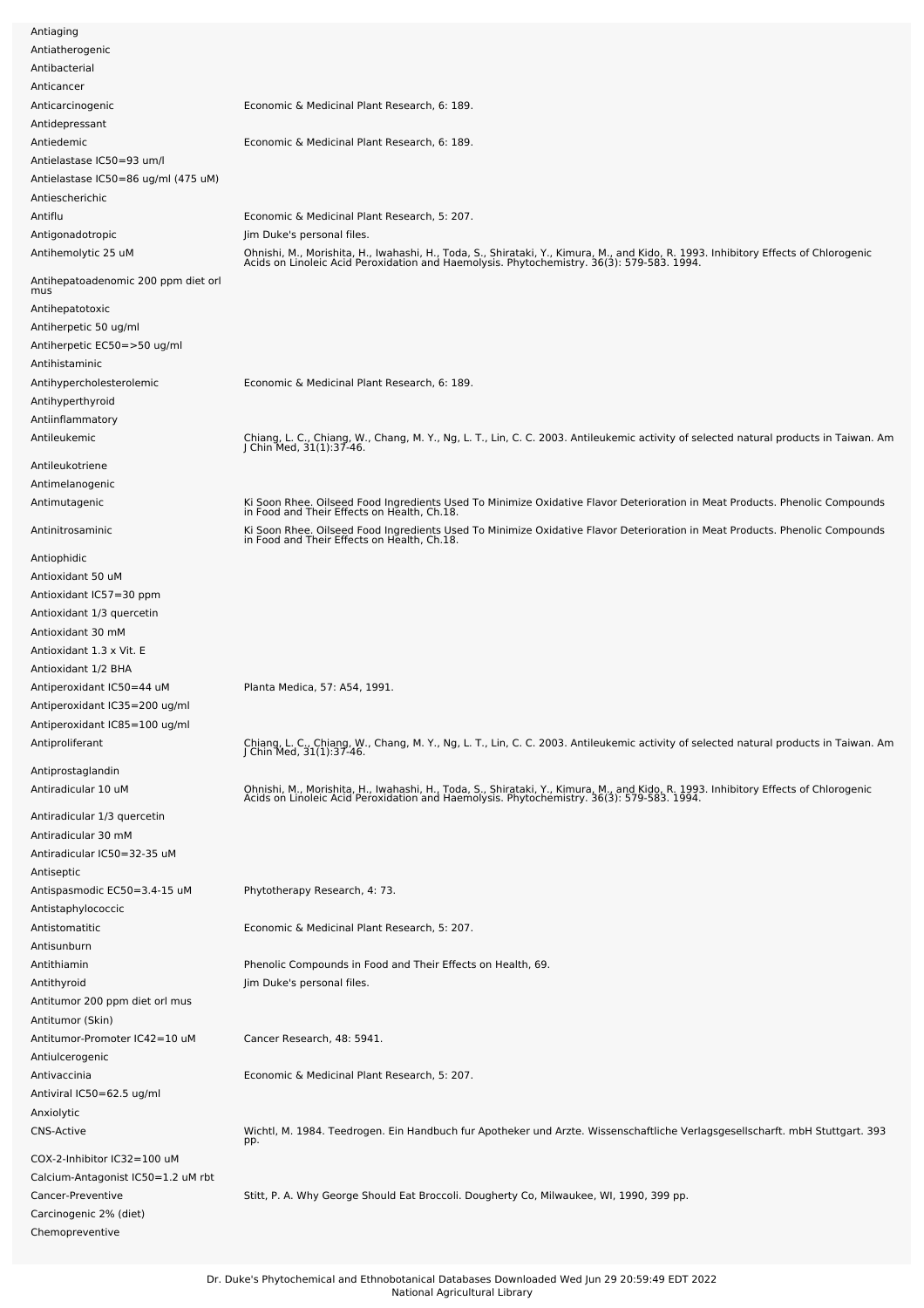| Antiaging                           |                                                                                                                                                                                                                                  |
|-------------------------------------|----------------------------------------------------------------------------------------------------------------------------------------------------------------------------------------------------------------------------------|
| Antiatherogenic                     |                                                                                                                                                                                                                                  |
| Antibacterial                       |                                                                                                                                                                                                                                  |
| Anticancer                          |                                                                                                                                                                                                                                  |
| Anticarcinogenic                    | Economic & Medicinal Plant Research, 6: 189.                                                                                                                                                                                     |
| Antidepressant                      |                                                                                                                                                                                                                                  |
| Antiedemic                          | Economic & Medicinal Plant Research, 6: 189.                                                                                                                                                                                     |
| Antielastase IC50=93 um/l           |                                                                                                                                                                                                                                  |
| Antielastase IC50=86 ug/ml (475 uM) |                                                                                                                                                                                                                                  |
| Antiescherichic                     |                                                                                                                                                                                                                                  |
| Antiflu                             | Economic & Medicinal Plant Research, 5: 207.                                                                                                                                                                                     |
| Antigonadotropic                    | Jim Duke's personal files.                                                                                                                                                                                                       |
| Antihemolytic 25 uM                 |                                                                                                                                                                                                                                  |
|                                     | Ohnishi, M., Morishita, H., Iwahashi, H., Toda, S., Shirataki, Y., Kimura, M., and Kido, R. 1993. Inhibitory Effects of Chlorogenic<br>Acids on Linoleic Acid Peroxidation and Haemolysis. Phytochemistry. 36(3): 579-583. 1994. |
| Antihepatoadenomic 200 ppm diet orl |                                                                                                                                                                                                                                  |
| mus                                 |                                                                                                                                                                                                                                  |
| Antihepatotoxic                     |                                                                                                                                                                                                                                  |
| Antiherpetic 50 ug/ml               |                                                                                                                                                                                                                                  |
| Antiherpetic EC50=>50 ug/ml         |                                                                                                                                                                                                                                  |
| Antihistaminic                      |                                                                                                                                                                                                                                  |
| Antihypercholesterolemic            | Economic & Medicinal Plant Research, 6: 189.                                                                                                                                                                                     |
| Antihyperthyroid                    |                                                                                                                                                                                                                                  |
| Antiinflammatory                    |                                                                                                                                                                                                                                  |
| Antileukemic                        | Chiang, L. C., Chiang, W., Chang, M. Y., Ng, L. T., Lin, C. C. 2003. Antileukemic activity of selected natural products in Taiwan. Am<br>J Chin Med, 31(1):37-46.                                                                |
| Antileukotriene                     |                                                                                                                                                                                                                                  |
| Antimelanogenic                     |                                                                                                                                                                                                                                  |
| Antimutagenic                       |                                                                                                                                                                                                                                  |
|                                     | Ki Soon Rhee. Oilseed Food Ingredients Used To Minimize Oxidative Flavor Deterioration in Meat Products. Phenolic Compounds<br>in Food and Their Effects on Health, Ch.18.                                                       |
| Antinitrosaminic                    | Ki Soon Rhee. Oilseed Food Ingredients Used To Minimize Oxidative Flavor Deterioration in Meat Products. Phenolic Compounds<br>in Food and Their Effects on Health, Ch.18.                                                       |
| Antiophidic                         |                                                                                                                                                                                                                                  |
|                                     |                                                                                                                                                                                                                                  |
| Antioxidant 50 uM                   |                                                                                                                                                                                                                                  |
| Antioxidant IC57=30 ppm             |                                                                                                                                                                                                                                  |
| Antioxidant 1/3 quercetin           |                                                                                                                                                                                                                                  |
| Antioxidant 30 mM                   |                                                                                                                                                                                                                                  |
| Antioxidant 1.3 x Vit. E            |                                                                                                                                                                                                                                  |
| Antioxidant 1/2 BHA                 |                                                                                                                                                                                                                                  |
| Antiperoxidant IC50=44 uM           | Planta Medica, 57: A54, 1991.                                                                                                                                                                                                    |
| Antiperoxidant IC35=200 ug/ml       |                                                                                                                                                                                                                                  |
| Antiperoxidant IC85=100 ug/ml       |                                                                                                                                                                                                                                  |
| Antiproliferant                     | Chiang, L. C., Chiang, W., Chang, M. Y., Ng, L. T., Lin, C. C. 2003. Antileukemic activity of selected natural products in Taiwan. Am<br>J Chin Med, 31(1):37-46.                                                                |
| Antiprostaglandin                   |                                                                                                                                                                                                                                  |
| Antiradicular 10 uM                 |                                                                                                                                                                                                                                  |
|                                     | Ohnishi, M., Morishita, H., Iwahashi, H., Toda, S., Shirataki, Y., Kimura, M., and Kido, R. 1993. Inhibitory Effects of Chlorogenic<br>Acids on Linoleic Acid Peroxidation and Haemolysis. Phytochemistry. 36(3): 579-583. 1994. |
| Antiradicular 1/3 quercetin         |                                                                                                                                                                                                                                  |
| Antiradicular 30 mM                 |                                                                                                                                                                                                                                  |
| Antiradicular IC50=32-35 uM         |                                                                                                                                                                                                                                  |
| Antiseptic                          |                                                                                                                                                                                                                                  |
| Antispasmodic EC50=3.4-15 uM        | Phytotherapy Research, 4: 73.                                                                                                                                                                                                    |
| Antistaphylococcic                  |                                                                                                                                                                                                                                  |
| Antistomatitic                      | Economic & Medicinal Plant Research, 5: 207.                                                                                                                                                                                     |
| Antisunburn                         |                                                                                                                                                                                                                                  |
| Antithiamin                         | Phenolic Compounds in Food and Their Effects on Health, 69.                                                                                                                                                                      |
| Antithyroid                         | Jim Duke's personal files.                                                                                                                                                                                                       |
| Antitumor 200 ppm diet orl mus      |                                                                                                                                                                                                                                  |
| Antitumor (Skin)                    |                                                                                                                                                                                                                                  |
| Antitumor-Promoter IC42=10 uM       | Cancer Research, 48: 5941.                                                                                                                                                                                                       |
| Antiulcerogenic                     |                                                                                                                                                                                                                                  |
| Antivaccinia                        | Economic & Medicinal Plant Research, 5: 207.                                                                                                                                                                                     |
| Antiviral IC50=62.5 ug/ml           |                                                                                                                                                                                                                                  |
| Anxiolytic                          |                                                                                                                                                                                                                                  |
| <b>CNS-Active</b>                   | Wichtl, M. 1984. Teedrogen. Ein Handbuch fur Apotheker und Arzte. Wissenschaftliche Verlagsgesellscharft. mbH Stuttgart. 393                                                                                                     |
|                                     | pp.                                                                                                                                                                                                                              |
| COX-2-Inhibitor IC32=100 uM         |                                                                                                                                                                                                                                  |
| Calcium-Antagonist IC50=1.2 uM rbt  |                                                                                                                                                                                                                                  |
| Cancer-Preventive                   | Stitt, P. A. Why George Should Eat Broccoli. Dougherty Co, Milwaukee, WI, 1990, 399 pp.                                                                                                                                          |
| Carcinogenic 2% (diet)              |                                                                                                                                                                                                                                  |
|                                     |                                                                                                                                                                                                                                  |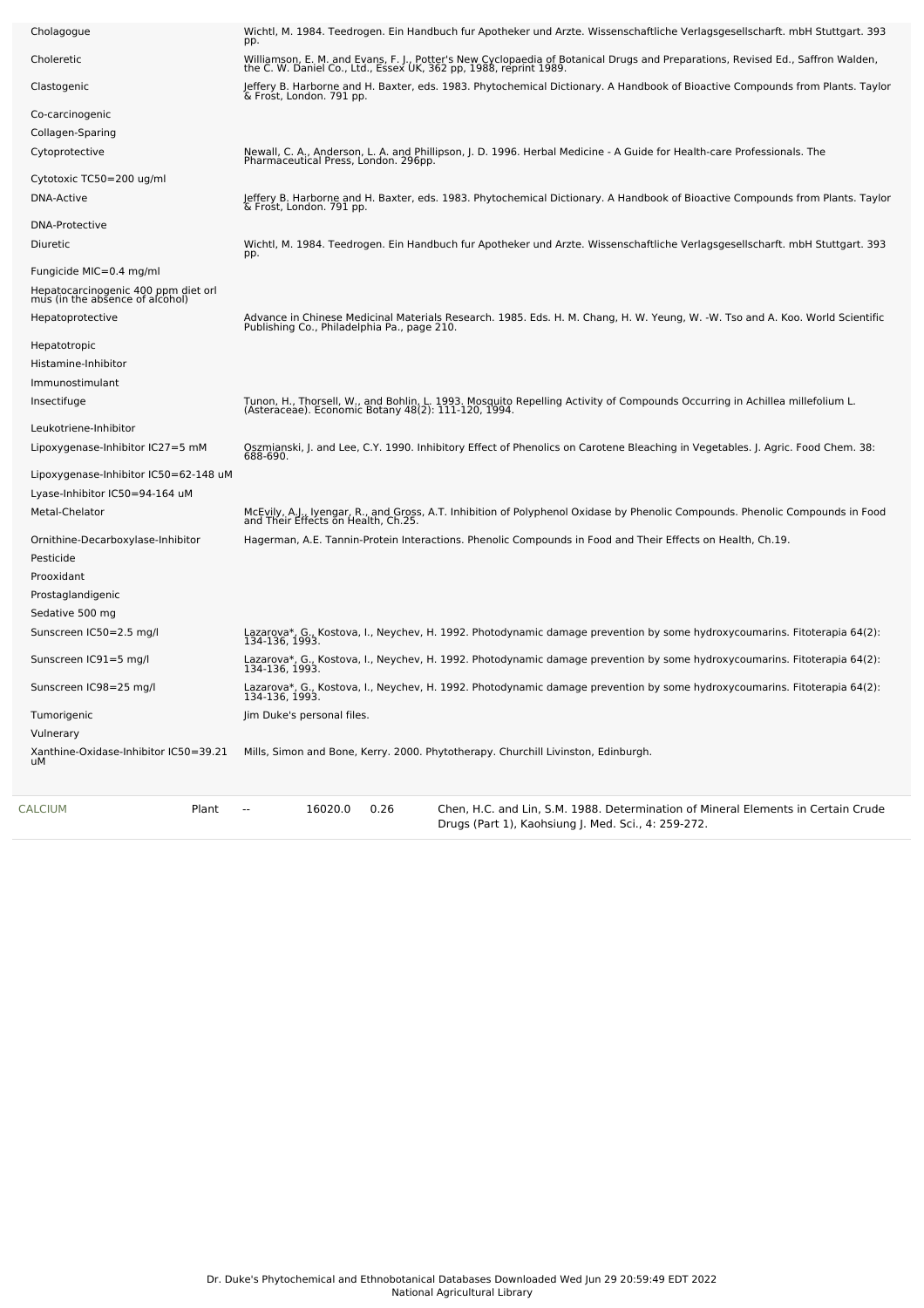| Plant<br><b>CALCIUM</b>                                                | 16020.0<br>0.26                             | Chen, H.C. and Lin, S.M. 1988. Determination of Mineral Elements in Certain Crude<br>Drugs (Part 1), Kaohsiung J. Med. Sci., 4: 259-272.                                                            |
|------------------------------------------------------------------------|---------------------------------------------|-----------------------------------------------------------------------------------------------------------------------------------------------------------------------------------------------------|
| Xanthine-Oxidase-Inhibitor IC50=39.21<br>иM                            |                                             | Mills, Simon and Bone, Kerry. 2000. Phytotherapy. Churchill Livinston, Edinburgh.                                                                                                                   |
| Vulnerary                                                              |                                             |                                                                                                                                                                                                     |
| Tumorigenic                                                            | Jim Duke's personal files.                  |                                                                                                                                                                                                     |
| Sunscreen IC98=25 mg/l                                                 |                                             | Lazarova*, G., Kostova, I., Neychev, H. 1992. Photodynamic damage prevention by some hydroxycoumarins. Fitoterapia 64(2):<br>134-136, 1993.                                                         |
| Sunscreen IC91=5 mg/l                                                  |                                             | Lazarova*, G., Kostova, I., Neychev, H. 1992. Photodynamic damage prevention by some hydroxycoumarins. Fitoterapia 64(2):<br>134-136, 1993.                                                         |
| Sunscreen IC50=2.5 mg/l                                                |                                             | Lazarova*, G., Kostova, I., Neychev, H. 1992. Photodynamic damage prevention by some hydroxycoumarins. Fitoterapia 64(2):<br>134-136, 1993.                                                         |
| Sedative 500 mg                                                        |                                             |                                                                                                                                                                                                     |
| Prostaglandigenic                                                      |                                             |                                                                                                                                                                                                     |
| Prooxidant                                                             |                                             |                                                                                                                                                                                                     |
| Pesticide                                                              |                                             |                                                                                                                                                                                                     |
| Ornithine-Decarboxylase-Inhibitor                                      |                                             | Hagerman, A.E. Tannin-Protein Interactions. Phenolic Compounds in Food and Their Effects on Health, Ch.19.                                                                                          |
| Metal-Chelator                                                         |                                             | McEvily, A.J., Iyengar, R., and Gross, A.T. Inhibition of Polyphenol Oxidase by Phenolic Compounds. Phenolic Compounds in Food<br>and Their Effects on Health, Ch.25.                               |
| Lyase-Inhibitor IC50=94-164 uM                                         |                                             |                                                                                                                                                                                                     |
| Lipoxygenase-Inhibitor IC50=62-148 uM                                  |                                             |                                                                                                                                                                                                     |
| Lipoxygenase-Inhibitor IC27=5 mM                                       | 688-690.                                    | Oszmianski, J. and Lee, C.Y. 1990. Inhibitory Effect of Phenolics on Carotene Bleaching in Vegetables. J. Agric. Food Chem. 38:                                                                     |
| Leukotriene-Inhibitor                                                  |                                             |                                                                                                                                                                                                     |
| Insectifuge                                                            |                                             | Tunon, H., Thorsell, W., and Bohlin, L. 1993. Mosquito Repelling Activity of Compounds Occurring in Achillea millefolium L.<br>(Asteraceae). Economic Botany 48(2): 111-120, 1994.                  |
| Immunostimulant                                                        |                                             |                                                                                                                                                                                                     |
| Histamine-Inhibitor                                                    |                                             |                                                                                                                                                                                                     |
| Hepatotropic                                                           |                                             |                                                                                                                                                                                                     |
| Hepatoprotective                                                       | Publishing Co., Philadelphia Pa., page 210. | Advance in Chinese Medicinal Materials Research. 1985. Eds. H. M. Chang, H. W. Yeung, W. -W. Tso and A. Koo. World Scientific                                                                       |
| Hepatocarcinogenic 400 ppm diet orl<br>mus (in the absence of alcohol) |                                             |                                                                                                                                                                                                     |
| Fungicide MIC=0.4 mg/ml                                                |                                             |                                                                                                                                                                                                     |
|                                                                        | pp.                                         |                                                                                                                                                                                                     |
| <b>DNA-Protective</b><br>Diuretic                                      |                                             | Wichtl, M. 1984. Teedrogen. Ein Handbuch fur Apotheker und Arzte. Wissenschaftliche Verlagsgesellscharft. mbH Stuttgart. 393                                                                        |
|                                                                        | & Frost, London. 791 pp.                    |                                                                                                                                                                                                     |
| Cytotoxic TC50=200 ug/ml<br>DNA-Active                                 |                                             | Jeffery B. Harborne and H. Baxter, eds. 1983. Phytochemical Dictionary. A Handbook of Bioactive Compounds from Plants. Taylor                                                                       |
|                                                                        | Pharmaceutical Press, London. 296pp.        |                                                                                                                                                                                                     |
| Cytoprotective                                                         |                                             | Newall, C. A., Anderson, L. A. and Phillipson, J. D. 1996. Herbal Medicine - A Guide for Health-care Professionals. The                                                                             |
| Co-carcinogenic<br>Collagen-Sparing                                    |                                             |                                                                                                                                                                                                     |
|                                                                        | & Frost, London. 791 pp.                    |                                                                                                                                                                                                     |
| Clastogenic                                                            |                                             | Jeffery B. Harborne and H. Baxter, eds. 1983. Phytochemical Dictionary. A Handbook of Bioactive Compounds from Plants. Taylor                                                                       |
| Choleretic                                                             |                                             | Williamson, E. M. and Evans, F. J., Potter's New Cyclopaedia of Botanical Drugs and Preparations, Revised Ed., Saffron Walden,<br>the C. W. Daniel Co., Ltd., Essex UK, 362 pp, 1988, reprint 1989. |
| Cholagogue                                                             | pp.                                         | Wichtl, M. 1984. Teedrogen. Ein Handbuch fur Apotheker und Arzte. Wissenschaftliche Verlagsgesellscharft. mbH Stuttgart. 393                                                                        |
|                                                                        |                                             |                                                                                                                                                                                                     |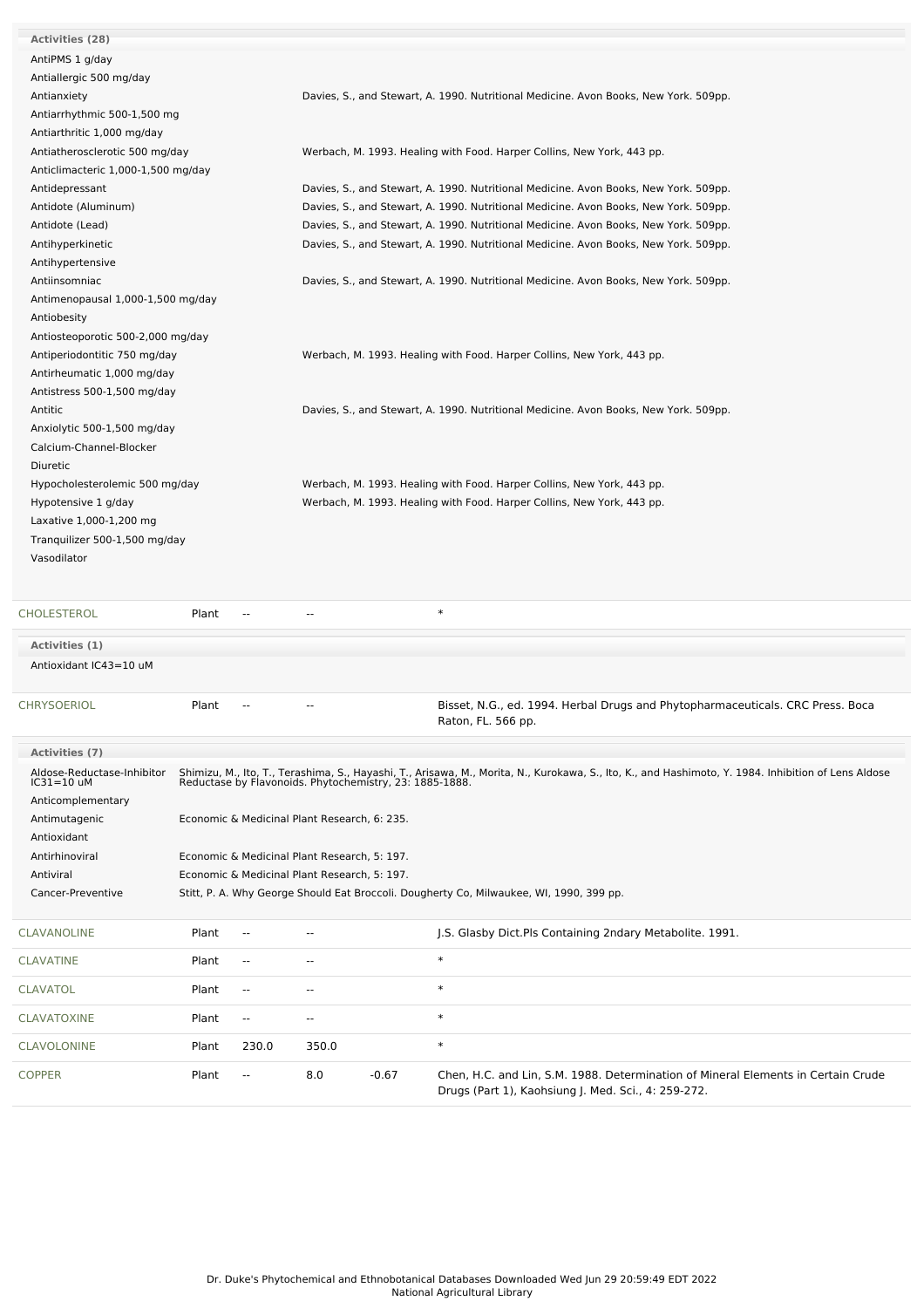| <b>Activities (28)</b>                   |       |                          |                                              |         |                                                                                                                                                                                                                |
|------------------------------------------|-------|--------------------------|----------------------------------------------|---------|----------------------------------------------------------------------------------------------------------------------------------------------------------------------------------------------------------------|
| AntiPMS 1 g/day                          |       |                          |                                              |         |                                                                                                                                                                                                                |
| Antiallergic 500 mg/day                  |       |                          |                                              |         |                                                                                                                                                                                                                |
| Antianxiety                              |       |                          |                                              |         | Davies, S., and Stewart, A. 1990. Nutritional Medicine. Avon Books, New York. 509pp.                                                                                                                           |
| Antiarrhythmic 500-1,500 mg              |       |                          |                                              |         |                                                                                                                                                                                                                |
| Antiarthritic 1,000 mg/day               |       |                          |                                              |         |                                                                                                                                                                                                                |
| Antiatherosclerotic 500 mg/day           |       |                          |                                              |         | Werbach, M. 1993. Healing with Food. Harper Collins, New York, 443 pp.                                                                                                                                         |
| Anticlimacteric 1,000-1,500 mg/day       |       |                          |                                              |         |                                                                                                                                                                                                                |
| Antidepressant                           |       |                          |                                              |         | Davies, S., and Stewart, A. 1990. Nutritional Medicine. Avon Books, New York. 509pp.                                                                                                                           |
| Antidote (Aluminum)                      |       |                          |                                              |         | Davies, S., and Stewart, A. 1990. Nutritional Medicine. Avon Books, New York. 509pp.                                                                                                                           |
| Antidote (Lead)                          |       |                          |                                              |         | Davies, S., and Stewart, A. 1990. Nutritional Medicine. Avon Books, New York. 509pp.                                                                                                                           |
| Antihyperkinetic                         |       |                          |                                              |         | Davies, S., and Stewart, A. 1990. Nutritional Medicine. Avon Books, New York. 509pp.                                                                                                                           |
| Antihypertensive                         |       |                          |                                              |         |                                                                                                                                                                                                                |
| Antiinsomniac                            |       |                          |                                              |         | Davies, S., and Stewart, A. 1990. Nutritional Medicine. Avon Books, New York. 509pp.                                                                                                                           |
| Antimenopausal 1,000-1,500 mg/day        |       |                          |                                              |         |                                                                                                                                                                                                                |
| Antiobesity                              |       |                          |                                              |         |                                                                                                                                                                                                                |
| Antiosteoporotic 500-2,000 mg/day        |       |                          |                                              |         |                                                                                                                                                                                                                |
| Antiperiodontitic 750 mg/day             |       |                          |                                              |         | Werbach, M. 1993. Healing with Food. Harper Collins, New York, 443 pp.                                                                                                                                         |
| Antirheumatic 1,000 mg/day               |       |                          |                                              |         |                                                                                                                                                                                                                |
| Antistress 500-1,500 mg/day              |       |                          |                                              |         |                                                                                                                                                                                                                |
| Antitic                                  |       |                          |                                              |         | Davies, S., and Stewart, A. 1990. Nutritional Medicine. Avon Books, New York. 509pp.                                                                                                                           |
| Anxiolytic 500-1,500 mg/day              |       |                          |                                              |         |                                                                                                                                                                                                                |
| Calcium-Channel-Blocker                  |       |                          |                                              |         |                                                                                                                                                                                                                |
| Diuretic                                 |       |                          |                                              |         |                                                                                                                                                                                                                |
| Hypocholesterolemic 500 mg/day           |       |                          |                                              |         | Werbach, M. 1993. Healing with Food. Harper Collins, New York, 443 pp.                                                                                                                                         |
|                                          |       |                          |                                              |         |                                                                                                                                                                                                                |
| Hypotensive 1 g/day                      |       |                          |                                              |         | Werbach, M. 1993. Healing with Food. Harper Collins, New York, 443 pp.                                                                                                                                         |
| Laxative 1,000-1,200 mg                  |       |                          |                                              |         |                                                                                                                                                                                                                |
| Tranquilizer 500-1,500 mg/day            |       |                          |                                              |         |                                                                                                                                                                                                                |
| Vasodilator                              |       |                          |                                              |         |                                                                                                                                                                                                                |
|                                          |       |                          |                                              |         |                                                                                                                                                                                                                |
| <b>CHOLESTEROL</b>                       | Plant |                          |                                              |         | $\ast$                                                                                                                                                                                                         |
|                                          |       |                          |                                              |         |                                                                                                                                                                                                                |
| Activities (1)                           |       |                          |                                              |         |                                                                                                                                                                                                                |
| Antioxidant IC43=10 uM                   |       |                          |                                              |         |                                                                                                                                                                                                                |
| CHRYSOERIOL                              | Plant |                          |                                              |         |                                                                                                                                                                                                                |
|                                          |       |                          |                                              |         | Bisset, N.G., ed. 1994. Herbal Drugs and Phytopharmaceuticals. CRC Press. Boca<br>Raton, FL. 566 pp.                                                                                                           |
|                                          |       |                          |                                              |         |                                                                                                                                                                                                                |
| Activities (7)                           |       |                          |                                              |         |                                                                                                                                                                                                                |
| Aldose-Reductase-Inhibitor<br>IC31=10 uM |       |                          |                                              |         | Shimizu, M., Ito, T., Terashima, S., Hayashi, T., Arisawa, M., Morita, N., Kurokawa, S., Ito, K., and Hashimoto, Y. 1984. Inhibition of Lens Aldose<br>Reductase by Flavonoids. Phytochemistry, 23: 1885-1888. |
|                                          |       |                          |                                              |         |                                                                                                                                                                                                                |
| Anticomplementary                        |       |                          |                                              |         |                                                                                                                                                                                                                |
| Antimutagenic                            |       |                          | Economic & Medicinal Plant Research, 6: 235. |         |                                                                                                                                                                                                                |
| Antioxidant                              |       |                          |                                              |         |                                                                                                                                                                                                                |
| Antirhinoviral                           |       |                          | Economic & Medicinal Plant Research, 5: 197. |         |                                                                                                                                                                                                                |
| Antiviral                                |       |                          | Economic & Medicinal Plant Research, 5: 197. |         |                                                                                                                                                                                                                |
| Cancer-Preventive                        |       |                          |                                              |         | Stitt, P. A. Why George Should Eat Broccoli. Dougherty Co, Milwaukee, WI, 1990, 399 pp.                                                                                                                        |
|                                          |       |                          |                                              |         |                                                                                                                                                                                                                |
| <b>CLAVANOLINE</b>                       | Plant |                          |                                              |         | J.S. Glasby Dict.Pls Containing 2ndary Metabolite. 1991.                                                                                                                                                       |
| <b>CLAVATINE</b>                         | Plant | $\overline{a}$           | --                                           |         | $\ast$                                                                                                                                                                                                         |
| <b>CLAVATOL</b>                          | Plant | $\overline{\phantom{a}}$ | $\overline{\phantom{a}}$                     |         | $\ast$                                                                                                                                                                                                         |
| CLAVATOXINE                              | Plant | $\sim$                   | --                                           |         | $\ast$                                                                                                                                                                                                         |
| <b>CLAVOLONINE</b>                       | Plant | 230.0                    | 350.0                                        |         | $\ast$                                                                                                                                                                                                         |
| <b>COPPER</b>                            | Plant | $\overline{\phantom{a}}$ | 8.0                                          | $-0.67$ | Chen, H.C. and Lin, S.M. 1988. Determination of Mineral Elements in Certain Crude                                                                                                                              |
|                                          |       |                          |                                              |         | Drugs (Part 1), Kaohsiung J. Med. Sci., 4: 259-272.                                                                                                                                                            |
|                                          |       |                          |                                              |         |                                                                                                                                                                                                                |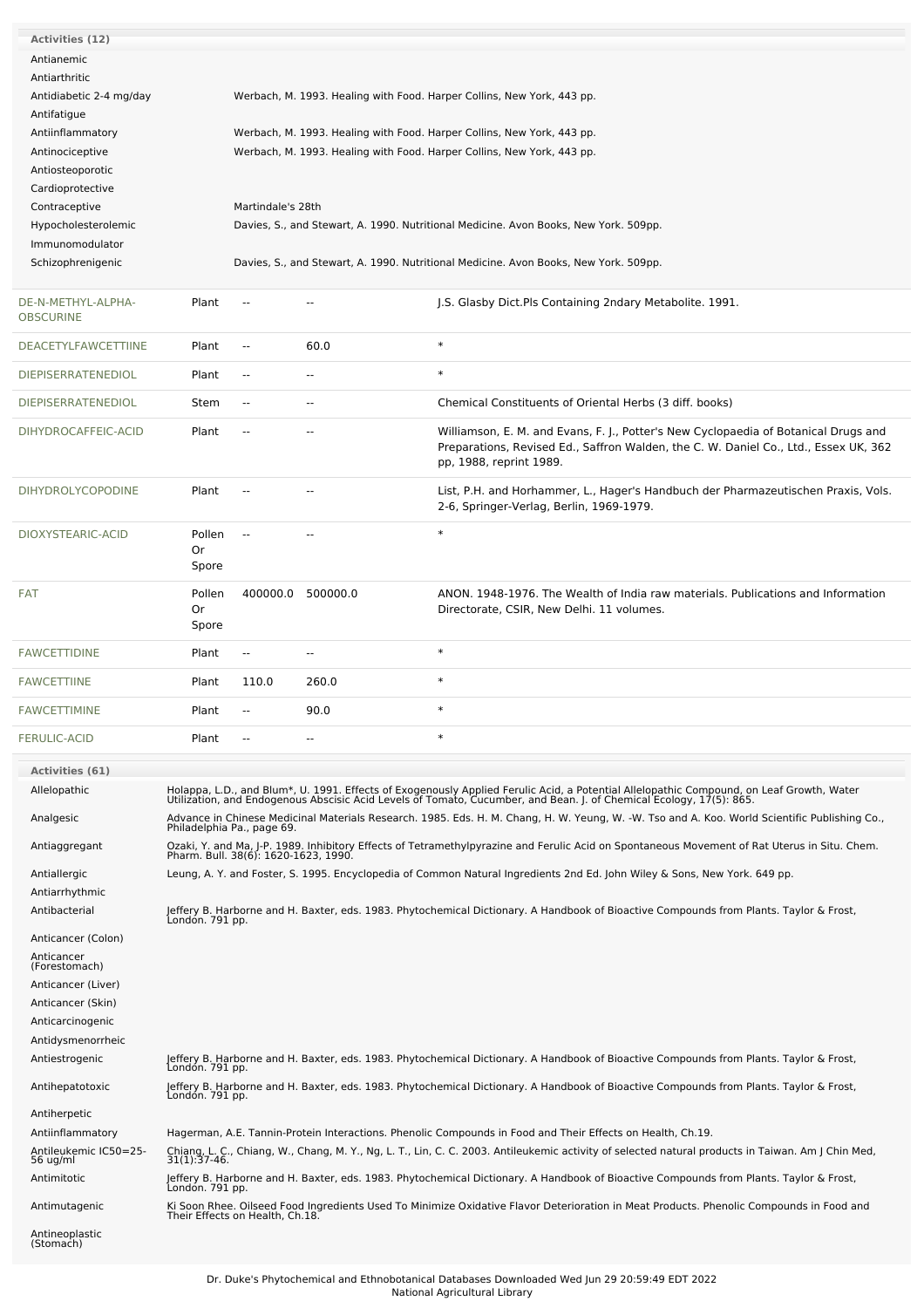| Activities (12)             |                                      |                   |                          |                                                                                                                                                                                                                                   |  |  |
|-----------------------------|--------------------------------------|-------------------|--------------------------|-----------------------------------------------------------------------------------------------------------------------------------------------------------------------------------------------------------------------------------|--|--|
| Antianemic                  |                                      |                   |                          |                                                                                                                                                                                                                                   |  |  |
| Antiarthritic               |                                      |                   |                          |                                                                                                                                                                                                                                   |  |  |
| Antidiabetic 2-4 mg/day     |                                      |                   |                          | Werbach, M. 1993. Healing with Food. Harper Collins, New York, 443 pp.                                                                                                                                                            |  |  |
| Antifatigue                 |                                      |                   |                          |                                                                                                                                                                                                                                   |  |  |
| Antiinflammatory            |                                      |                   |                          | Werbach, M. 1993. Healing with Food. Harper Collins, New York, 443 pp.                                                                                                                                                            |  |  |
| Antinociceptive             |                                      |                   |                          | Werbach, M. 1993. Healing with Food. Harper Collins, New York, 443 pp.                                                                                                                                                            |  |  |
| Antiosteoporotic            |                                      |                   |                          |                                                                                                                                                                                                                                   |  |  |
| Cardioprotective            |                                      |                   |                          |                                                                                                                                                                                                                                   |  |  |
| Contraceptive               |                                      | Martindale's 28th |                          |                                                                                                                                                                                                                                   |  |  |
| Hypocholesterolemic         |                                      |                   |                          | Davies, S., and Stewart, A. 1990. Nutritional Medicine. Avon Books, New York. 509pp.                                                                                                                                              |  |  |
| Immunomodulator             |                                      |                   |                          |                                                                                                                                                                                                                                   |  |  |
| Schizophrenigenic           |                                      |                   |                          | Davies, S., and Stewart, A. 1990. Nutritional Medicine. Avon Books, New York. 509pp.                                                                                                                                              |  |  |
|                             |                                      |                   |                          |                                                                                                                                                                                                                                   |  |  |
| DE-N-METHYL-ALPHA-          | Plant                                | $\sim$            | $-$                      | J.S. Glasby Dict. Pls Containing 2ndary Metabolite. 1991.                                                                                                                                                                         |  |  |
| <b>OBSCURINE</b>            |                                      |                   |                          |                                                                                                                                                                                                                                   |  |  |
| <b>DEACETYLFAWCETTIINE</b>  | Plant                                | $\sim$            | 60.0                     | $\ast$                                                                                                                                                                                                                            |  |  |
| <b>DIEPISERRATENEDIOL</b>   | Plant                                | $\sim$            | $\overline{a}$           | $\ast$                                                                                                                                                                                                                            |  |  |
|                             |                                      |                   |                          |                                                                                                                                                                                                                                   |  |  |
| <b>DIEPISERRATENEDIOL</b>   | Stem                                 | $\sim$            | --                       | Chemical Constituents of Oriental Herbs (3 diff. books)                                                                                                                                                                           |  |  |
| DIHYDROCAFFEIC-ACID         | Plant                                | $\sim$            | --                       | Williamson, E. M. and Evans, F. J., Potter's New Cyclopaedia of Botanical Drugs and                                                                                                                                               |  |  |
|                             |                                      |                   |                          | Preparations, Revised Ed., Saffron Walden, the C. W. Daniel Co., Ltd., Essex UK, 362                                                                                                                                              |  |  |
|                             |                                      |                   |                          | pp, 1988, reprint 1989.                                                                                                                                                                                                           |  |  |
| DIHYDROLYCOPODINE           | Plant                                | $\sim$            | $-$                      | List, P.H. and Horhammer, L., Hager's Handbuch der Pharmazeutischen Praxis, Vols.                                                                                                                                                 |  |  |
|                             |                                      |                   |                          | 2-6, Springer-Verlag, Berlin, 1969-1979.                                                                                                                                                                                          |  |  |
| DIOXYSTEARIC-ACID           | Pollen                               |                   |                          | $\ast$                                                                                                                                                                                                                            |  |  |
|                             | Or                                   |                   |                          |                                                                                                                                                                                                                                   |  |  |
|                             | Spore                                |                   |                          |                                                                                                                                                                                                                                   |  |  |
|                             |                                      |                   |                          |                                                                                                                                                                                                                                   |  |  |
| <b>FAT</b>                  | Pollen<br>Or                         | 400000.0          | 500000.0                 | ANON. 1948-1976. The Wealth of India raw materials. Publications and Information<br>Directorate, CSIR, New Delhi. 11 volumes.                                                                                                     |  |  |
|                             | Spore                                |                   |                          |                                                                                                                                                                                                                                   |  |  |
|                             |                                      |                   |                          |                                                                                                                                                                                                                                   |  |  |
| <b>FAWCETTIDINE</b>         | Plant                                | $\sim$            | $\overline{\phantom{a}}$ | $\ast$                                                                                                                                                                                                                            |  |  |
| <b>FAWCETTIINE</b>          | Plant                                | 110.0             | 260.0                    | $\ast$                                                                                                                                                                                                                            |  |  |
| <b>FAWCETTIMINE</b>         | Plant                                | $\sim$            | 90.0                     | $\ast$                                                                                                                                                                                                                            |  |  |
| <b>FERULIC-ACID</b>         | Plant                                |                   |                          | $\ast$                                                                                                                                                                                                                            |  |  |
|                             |                                      |                   |                          |                                                                                                                                                                                                                                   |  |  |
| Activities (61)             |                                      |                   |                          |                                                                                                                                                                                                                                   |  |  |
| Allelopathic                |                                      |                   |                          | Holappa, L.D., and Blum*, U. 1991. Effects of Exogenously Applied Ferulic Acid, a Potential Allelopathic Compound, on Leaf Growth, Water<br>Utilization, and Endogenous Abscisic Acid Levels of Tomato, Cucumber, and Bean. J. of |  |  |
| Analgesic                   |                                      |                   |                          | Advance in Chinese Medicinal Materials Research. 1985. Eds. H. M. Chang, H. W. Yeung, W. -W. Tso and A. Koo. World Scientific Publishing Co.,                                                                                     |  |  |
|                             | Philadelphia Pa., page 69.           |                   |                          |                                                                                                                                                                                                                                   |  |  |
| Antiaggregant               | Pharm. Bull. 38(6): 1620-1623, 1990. |                   |                          | Ozaki, Y. and Ma, J-P. 1989. Inhibitory Effects of Tetramethylpyrazine and Ferulic Acid on Spontaneous Movement of Rat Uterus in Situ. Chem.                                                                                      |  |  |
| Antiallergic                |                                      |                   |                          | Leung, A. Y. and Foster, S. 1995. Encyclopedia of Common Natural Ingredients 2nd Ed. John Wiley & Sons, New York. 649 pp.                                                                                                         |  |  |
| Antiarrhythmic              |                                      |                   |                          |                                                                                                                                                                                                                                   |  |  |
| Antibacterial               | Londón. 791 pp.                      |                   |                          | Jeffery B. Harborne and H. Baxter, eds. 1983. Phytochemical Dictionary. A Handbook of Bioactive Compounds from Plants. Taylor & Frost,                                                                                            |  |  |
| Anticancer (Colon)          |                                      |                   |                          |                                                                                                                                                                                                                                   |  |  |
| Anticancer<br>(Forestomach) |                                      |                   |                          |                                                                                                                                                                                                                                   |  |  |
|                             |                                      |                   |                          |                                                                                                                                                                                                                                   |  |  |
| Anticancer (Liver)          |                                      |                   |                          |                                                                                                                                                                                                                                   |  |  |
| Anticancer (Skin)           |                                      |                   |                          |                                                                                                                                                                                                                                   |  |  |
| Anticarcinogenic            |                                      |                   |                          |                                                                                                                                                                                                                                   |  |  |
| Antidysmenorrheic           |                                      |                   |                          |                                                                                                                                                                                                                                   |  |  |
| Antiestrogenic              | London. 791 pp.                      |                   |                          | Jeffery B. Harborne and H. Baxter, eds. 1983. Phytochemical Dictionary. A Handbook of Bioactive Compounds from Plants. Taylor & Frost,                                                                                            |  |  |
| Antihepatotoxic             | London. 791 pp.                      |                   |                          | Jeffery B. Harborne and H. Baxter, eds. 1983. Phytochemical Dictionary. A Handbook of Bioactive Compounds from Plants. Taylor & Frost,                                                                                            |  |  |
| Antiherpetic                |                                      |                   |                          |                                                                                                                                                                                                                                   |  |  |
| Antiinflammatory            |                                      |                   |                          | Hagerman, A.E. Tannin-Protein Interactions. Phenolic Compounds in Food and Their Effects on Health, Ch.19.                                                                                                                        |  |  |
| Antileukemic IC50=25-       |                                      |                   |                          | Chiang, L. C., Chiang, W., Chang, M. Y., Ng, L. T., Lin, C. C. 2003. Antileukemic activity of selected natural products in Taiwan. Am J Chin Med,                                                                                 |  |  |
| 56 ug/ml<br>Antimitotic     | $31(1)$ : $37-46$ .                  |                   |                          | Jeffery B. Harborne and H. Baxter, eds. 1983. Phytochemical Dictionary. A Handbook of Bioactive Compounds from Plants. Taylor & Frost,                                                                                            |  |  |
| Antimutagenic               | Londón. 791 pp.                      |                   |                          |                                                                                                                                                                                                                                   |  |  |
| Antineoplastic              |                                      |                   |                          | Ki Soon Rhee. Oilseed Food Ingredients Used To Minimize Oxidative Flavor Deterioration in Meat Products. Phenolic Compounds in Food and<br>Their Effects on Health, Ch.18.                                                        |  |  |
| (Stomach)                   |                                      |                   |                          |                                                                                                                                                                                                                                   |  |  |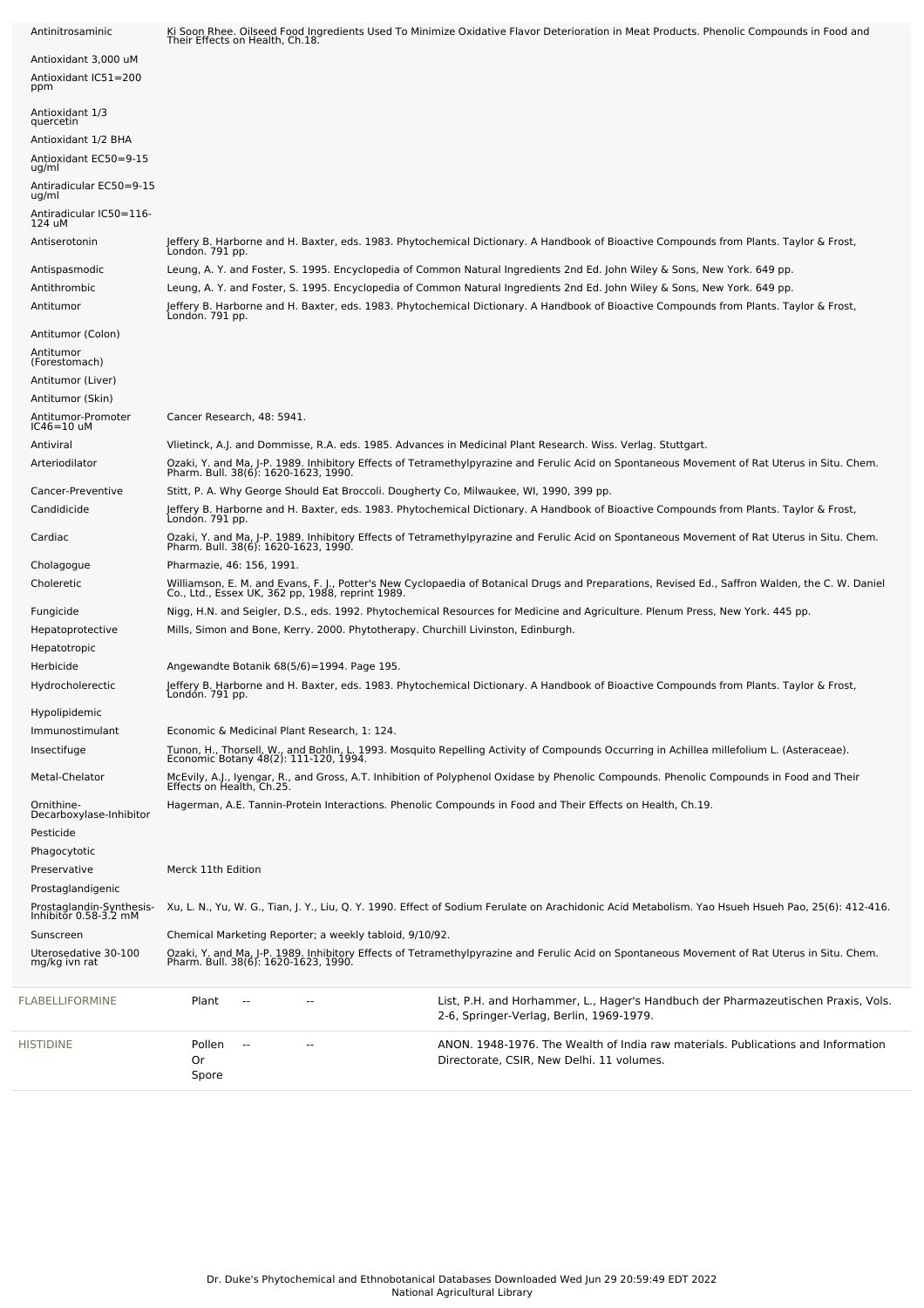| HISTIDINE                                         | Pollen<br>$\overline{\phantom{a}}$<br>0r<br>Spore                                       | ANON. 1948-1976. The Wealth of India raw materials. Publications and Information<br>Directorate, CSIR, New Delhi. 11 volumes.                                                                                                                                       |
|---------------------------------------------------|-----------------------------------------------------------------------------------------|---------------------------------------------------------------------------------------------------------------------------------------------------------------------------------------------------------------------------------------------------------------------|
| FLABELLIFORMINE                                   | Plant<br>$\overline{a}$                                                                 | List, P.H. and Horhammer, L., Hager's Handbuch der Pharmazeutischen Praxis, Vols.<br>2-6, Springer-Verlag, Berlin, 1969-1979.                                                                                                                                       |
| Uterosedative 30-100<br>mg/kg ivn rat             |                                                                                         | Ozaki, Y. and Ma, J-P. 1989. Inhibitory Effects of Tetramethylpyrazine and Ferulic Acid on Spontaneous Movement of Rat Uterus in Situ. Chem.<br>Pharm. Bull. 38(6): 1620-1623, 1990.                                                                                |
| Sunscreen                                         | Chemical Marketing Reporter; a weekly tabloid, 9/10/92.                                 |                                                                                                                                                                                                                                                                     |
| Prostaglandin-Synthesis-<br>Inhibitor 0.58-3.2 mM |                                                                                         | Xu, L. N., Yu, W. G., Tian, J. Y., Liu, Q. Y. 1990. Effect of Sodium Ferulate on Arachidonic Acid Metabolism. Yao Hsueh Hsueh Pao, 25(6): 412-416.                                                                                                                  |
| Prostaglandigenic                                 |                                                                                         |                                                                                                                                                                                                                                                                     |
| Preservative                                      | Merck 11th Edition                                                                      |                                                                                                                                                                                                                                                                     |
| Phagocytotic                                      |                                                                                         |                                                                                                                                                                                                                                                                     |
| Pesticide                                         |                                                                                         |                                                                                                                                                                                                                                                                     |
| Ornithine-<br>Decarboxylase-Inhibitor             |                                                                                         | Hagerman, A.E. Tannin-Protein Interactions. Phenolic Compounds in Food and Their Effects on Health, Ch.19.                                                                                                                                                          |
| Metal-Chelator                                    |                                                                                         | McEvily, A.J., Ivengar, R., and Gross, A.T. Inhibition of Polyphenol Oxidase by Phenolic Compounds. Phenolic Compounds in Food and Their<br>Effects on Health, Ch.25.                                                                                               |
|                                                   | Economic Botany 48(2): 111-120, 1994.                                                   |                                                                                                                                                                                                                                                                     |
| Immunostimulant<br>Insectifuge                    | Economic & Medicinal Plant Research, 1: 124.                                            | Tunon, H., Thorsell, W., and Bohlin, L. 1993. Mosquito Repelling Activity of Compounds Occurring in Achillea millefolium L. (Asteraceae).                                                                                                                           |
| Hypolipidemic                                     |                                                                                         |                                                                                                                                                                                                                                                                     |
| Hydrocholerectic                                  | Londón. 791 pp.                                                                         |                                                                                                                                                                                                                                                                     |
| Herbicide                                         | Angewandte Botanik 68(5/6)=1994. Page 195.                                              | Jeffery B. Harborne and H. Baxter, eds. 1983. Phytochemical Dictionary. A Handbook of Bioactive Compounds from Plants. Taylor & Frost,                                                                                                                              |
| Hepatotropic                                      |                                                                                         |                                                                                                                                                                                                                                                                     |
| Hepatoprotective                                  | Mills, Simon and Bone, Kerry. 2000. Phytotherapy. Churchill Livinston, Edinburgh.       |                                                                                                                                                                                                                                                                     |
| Fungicide                                         |                                                                                         | Nigg, H.N. and Seigler, D.S., eds. 1992. Phytochemical Resources for Medicine and Agriculture. Plenum Press, New York. 445 pp.                                                                                                                                      |
| Choleretic                                        | Co., Ltd., Essex UK, 362 pp, 1988, reprint 1989.                                        | Williamson, E. M. and Evans, F. J., Potter's New Cyclopaedia of Botanical Drugs and Preparations, Revised Ed., Saffron Walden, the C. W. Daniel                                                                                                                     |
| Cholagogue                                        | Pharmazie, 46: 156, 1991.                                                               |                                                                                                                                                                                                                                                                     |
| Cardiac                                           | Pharm. Bull. 38(6): 1620-1623, 1990.                                                    | Ozaki, Y. and Ma, J-P. 1989. Inhibitory Effects of Tetramethylpyrazine and Ferulic Acid on Spontaneous Movement of Rat Uterus in Situ. Chem.                                                                                                                        |
| Candidicide                                       | Londón. 791 pp.                                                                         | Jeffery B. Harborne and H. Baxter, eds. 1983. Phytochemical Dictionary. A Handbook of Bioactive Compounds from Plants. Taylor & Frost,                                                                                                                              |
| Cancer-Preventive                                 | Stitt, P. A. Why George Should Eat Broccoli. Dougherty Co, Milwaukee, WI, 1990, 399 pp. |                                                                                                                                                                                                                                                                     |
| Arteriodilator                                    | Pharm. Bull. 38(6): 1620-1623, 1990.                                                    | Ozaki, Y. and Ma, J-P. 1989. Inhibitory Effects of Tetramethylpyrazine and Ferulic Acid on Spontaneous Movement of Rat Uterus in Situ. Chem.                                                                                                                        |
| Antiviral                                         |                                                                                         | Vlietinck, A.J. and Dommisse, R.A. eds. 1985. Advances in Medicinal Plant Research. Wiss. Verlag. Stuttgart.                                                                                                                                                        |
| $IC46=10$ uM                                      |                                                                                         |                                                                                                                                                                                                                                                                     |
| Antitumor (Skin)<br>Antitumor-Promoter            | Cancer Research, 48: 5941.                                                              |                                                                                                                                                                                                                                                                     |
| Antitumor (Liver)                                 |                                                                                         |                                                                                                                                                                                                                                                                     |
| (Forestomach)                                     |                                                                                         |                                                                                                                                                                                                                                                                     |
| Antitumor (Colon)<br>Antitumor                    |                                                                                         |                                                                                                                                                                                                                                                                     |
|                                                   | Londón. 791 pp.                                                                         |                                                                                                                                                                                                                                                                     |
| Antithrombic<br>Antitumor                         |                                                                                         | Leung, A. Y. and Foster, S. 1995. Encyclopedia of Common Natural Ingredients 2nd Ed. John Wiley & Sons, New York. 649 pp.<br>Jeffery B. Harborne and H. Baxter, eds. 1983. Phytochemical Dictionary. A Handbook of Bioactive Compounds from Plants. Taylor & Frost, |
| Antispasmodic                                     |                                                                                         | Leung, A. Y. and Foster, S. 1995. Encyclopedia of Common Natural Ingredients 2nd Ed. John Wiley & Sons, New York. 649 pp.                                                                                                                                           |
|                                                   | Londón. 791 pp.                                                                         |                                                                                                                                                                                                                                                                     |
| 124 uM<br>Antiserotonin                           |                                                                                         | Jeffery B. Harborne and H. Baxter, eds. 1983. Phytochemical Dictionary. A Handbook of Bioactive Compounds from Plants. Taylor & Frost,                                                                                                                              |
| ug/ml<br>Antiradicular IC50=116-                  |                                                                                         |                                                                                                                                                                                                                                                                     |
| ug/ml<br>Antiradicular EC50=9-15                  |                                                                                         |                                                                                                                                                                                                                                                                     |
| Antioxidant EC50=9-15                             |                                                                                         |                                                                                                                                                                                                                                                                     |
| Antioxidant 1/2 BHA                               |                                                                                         |                                                                                                                                                                                                                                                                     |
| Antioxidant 1/3<br>quercetin                      |                                                                                         |                                                                                                                                                                                                                                                                     |
| Antioxidant IC51=200<br>ppm                       |                                                                                         |                                                                                                                                                                                                                                                                     |
| Antioxidant 3,000 uM                              |                                                                                         |                                                                                                                                                                                                                                                                     |
| Antinitrosaminic                                  | Their Effects on Health, Ch.18.                                                         | Ki Soon Rhee. Oilseed Food Ingredients Used To Minimize Oxidative Flavor Deterioration in Meat Products. Phenolic Compounds in Food and                                                                                                                             |
|                                                   |                                                                                         |                                                                                                                                                                                                                                                                     |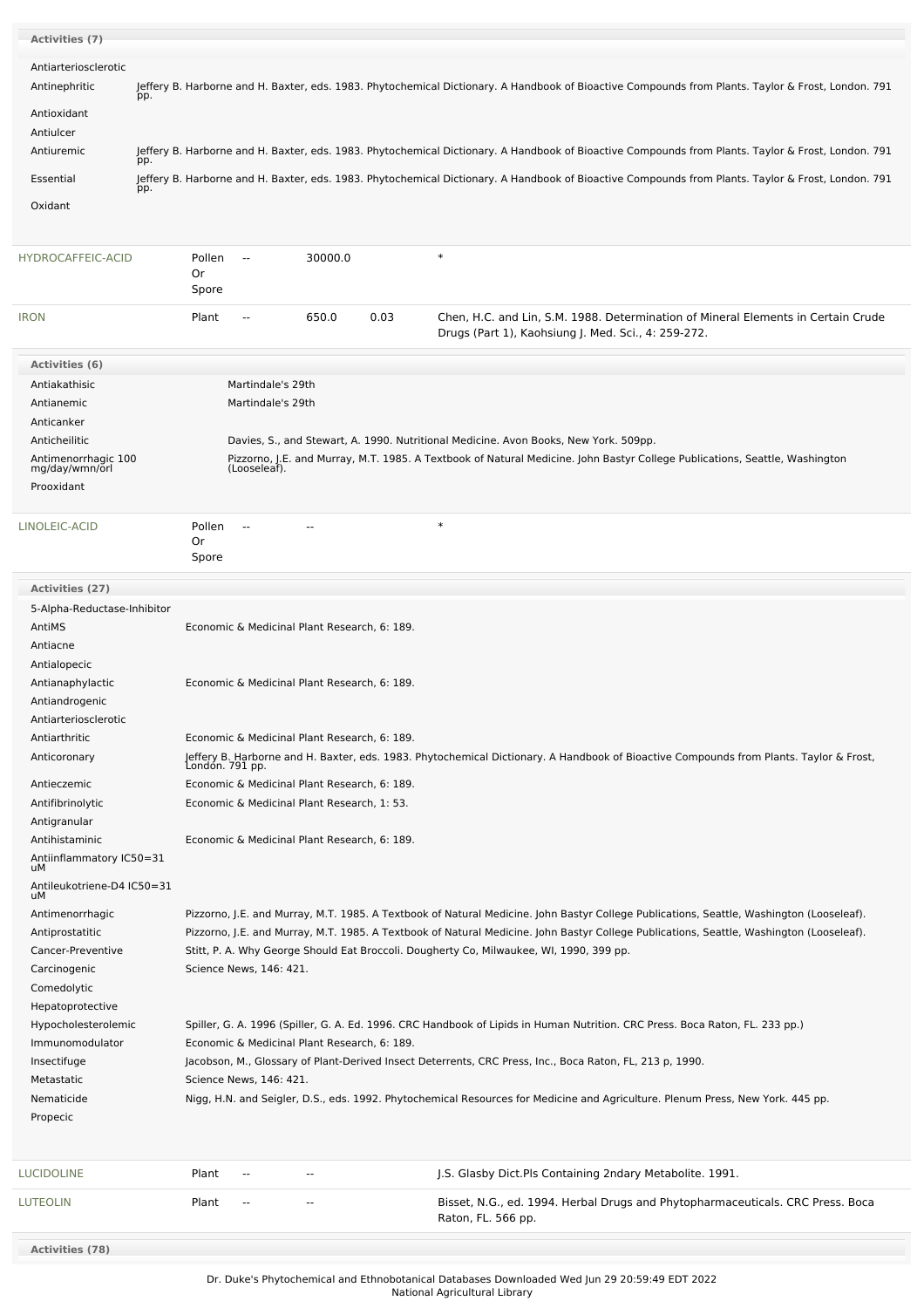| <b>Activities (7)</b>                 |                                                                                                                                                                                                |
|---------------------------------------|------------------------------------------------------------------------------------------------------------------------------------------------------------------------------------------------|
| Antiarteriosclerotic                  |                                                                                                                                                                                                |
| Antinephritic                         | Jeffery B. Harborne and H. Baxter, eds. 1983. Phytochemical Dictionary. A Handbook of Bioactive Compounds from Plants. Taylor & Frost, London. 791                                             |
|                                       | pp.                                                                                                                                                                                            |
| Antioxidant                           |                                                                                                                                                                                                |
| Antiulcer<br>Antiuremic               |                                                                                                                                                                                                |
|                                       | Jeffery B. Harborne and H. Baxter, eds. 1983. Phytochemical Dictionary. A Handbook of Bioactive Compounds from Plants. Taylor & Frost, London. 791<br>pp.                                      |
| Essential                             | Jeffery B. Harborne and H. Baxter, eds. 1983. Phytochemical Dictionary. A Handbook of Bioactive Compounds from Plants. Taylor & Frost, London. 791<br>pp.                                      |
| Oxidant                               |                                                                                                                                                                                                |
|                                       |                                                                                                                                                                                                |
| HYDROCAFFEIC-ACID                     | $\ast$<br>Pollen<br>30000.0<br>$\sim$                                                                                                                                                          |
|                                       | Or<br>Spore                                                                                                                                                                                    |
| <b>IRON</b>                           | 650.0<br>0.03<br>Plant<br>Chen, H.C. and Lin, S.M. 1988. Determination of Mineral Elements in Certain Crude<br>$\overline{\phantom{a}}$<br>Drugs (Part 1), Kaohsiung J. Med. Sci., 4: 259-272. |
| Activities (6)                        |                                                                                                                                                                                                |
| Antiakathisic                         | Martindale's 29th                                                                                                                                                                              |
| Antianemic                            | Martindale's 29th                                                                                                                                                                              |
| Anticanker                            |                                                                                                                                                                                                |
| Anticheilitic                         | Davies, S., and Stewart, A. 1990. Nutritional Medicine. Avon Books, New York. 509pp.                                                                                                           |
| Antimenorrhagic 100<br>mg/day/wmn/orl | Pizzorno, J.E. and Murray, M.T. 1985. A Textbook of Natural Medicine. John Bastyr College Publications, Seattle, Washington<br>(Looseleaf).                                                    |
| Prooxidant                            |                                                                                                                                                                                                |
| LINOLEIC-ACID                         | $\ast$<br>Pollen<br>$\sim$ $\sim$                                                                                                                                                              |
|                                       | 0r<br>Spore                                                                                                                                                                                    |
|                                       |                                                                                                                                                                                                |
| Activities (27)                       |                                                                                                                                                                                                |
| 5-Alpha-Reductase-Inhibitor           |                                                                                                                                                                                                |
| AntiMS                                | Economic & Medicinal Plant Research, 6: 189.                                                                                                                                                   |
| Antiacne                              |                                                                                                                                                                                                |
| Antialopecic                          |                                                                                                                                                                                                |
| Antianaphylactic<br>Antiandrogenic    | Economic & Medicinal Plant Research, 6: 189.                                                                                                                                                   |
| Antiarteriosclerotic                  |                                                                                                                                                                                                |
| Antiarthritic                         | Economic & Medicinal Plant Research, 6: 189.                                                                                                                                                   |
| Anticoronary                          | Jeffery B. Harborne and H. Baxter, eds. 1983. Phytochemical Dictionary. A Handbook of Bioactive Compounds from Plants. Taylor & Frost,<br>London. 791 pp.                                      |
|                                       |                                                                                                                                                                                                |
| Antieczemic                           | Economic & Medicinal Plant Research, 6: 189.<br>Economic & Medicinal Plant Research, 1: 53.                                                                                                    |
| Antifibrinolytic<br>Antigranular      |                                                                                                                                                                                                |
| Antihistaminic                        | Economic & Medicinal Plant Research, 6: 189.                                                                                                                                                   |
| Antiinflammatory IC50=31              |                                                                                                                                                                                                |
| uМ                                    |                                                                                                                                                                                                |
| Antileukotriene-D4 IC50=31<br>uМ      |                                                                                                                                                                                                |
| Antimenorrhagic                       | Pizzorno, J.E. and Murray, M.T. 1985. A Textbook of Natural Medicine. John Bastyr College Publications, Seattle, Washington (Looseleaf).                                                       |
| Antiprostatitic                       | Pizzorno, J.E. and Murray, M.T. 1985. A Textbook of Natural Medicine. John Bastyr College Publications, Seattle, Washington (Looseleaf).                                                       |
| Cancer-Preventive                     | Stitt, P. A. Why George Should Eat Broccoli. Dougherty Co, Milwaukee, WI, 1990, 399 pp.                                                                                                        |
| Carcinogenic                          | Science News, 146: 421.                                                                                                                                                                        |
| Comedolytic                           |                                                                                                                                                                                                |
| Hepatoprotective                      |                                                                                                                                                                                                |
| Hypocholesterolemic                   | Spiller, G. A. 1996 (Spiller, G. A. Ed. 1996. CRC Handbook of Lipids in Human Nutrition. CRC Press. Boca Raton, FL. 233 pp.)                                                                   |
| Immunomodulator                       | Economic & Medicinal Plant Research, 6: 189.                                                                                                                                                   |
| Insectifuge<br>Metastatic             | Jacobson, M., Glossary of Plant-Derived Insect Deterrents, CRC Press, Inc., Boca Raton, FL, 213 p, 1990.<br>Science News, 146: 421.                                                            |
|                                       |                                                                                                                                                                                                |
| Nematicide<br>Propecic                | Nigg, H.N. and Seigler, D.S., eds. 1992. Phytochemical Resources for Medicine and Agriculture. Plenum Press, New York. 445 pp.                                                                 |
|                                       |                                                                                                                                                                                                |
| <b>LUCIDOLINE</b>                     | Plant<br>J.S. Glasby Dict. Pls Containing 2ndary Metabolite. 1991.<br>$\sim$ $\sim$<br>$\overline{a}$                                                                                          |
| <b>LUTEOLIN</b>                       | Plant<br>Bisset, N.G., ed. 1994. Herbal Drugs and Phytopharmaceuticals. CRC Press. Boca<br>$\overline{\phantom{a}}$<br>$\overline{\phantom{a}}$<br>Raton, FL. 566 pp.                          |
| <b>Activities (78)</b>                |                                                                                                                                                                                                |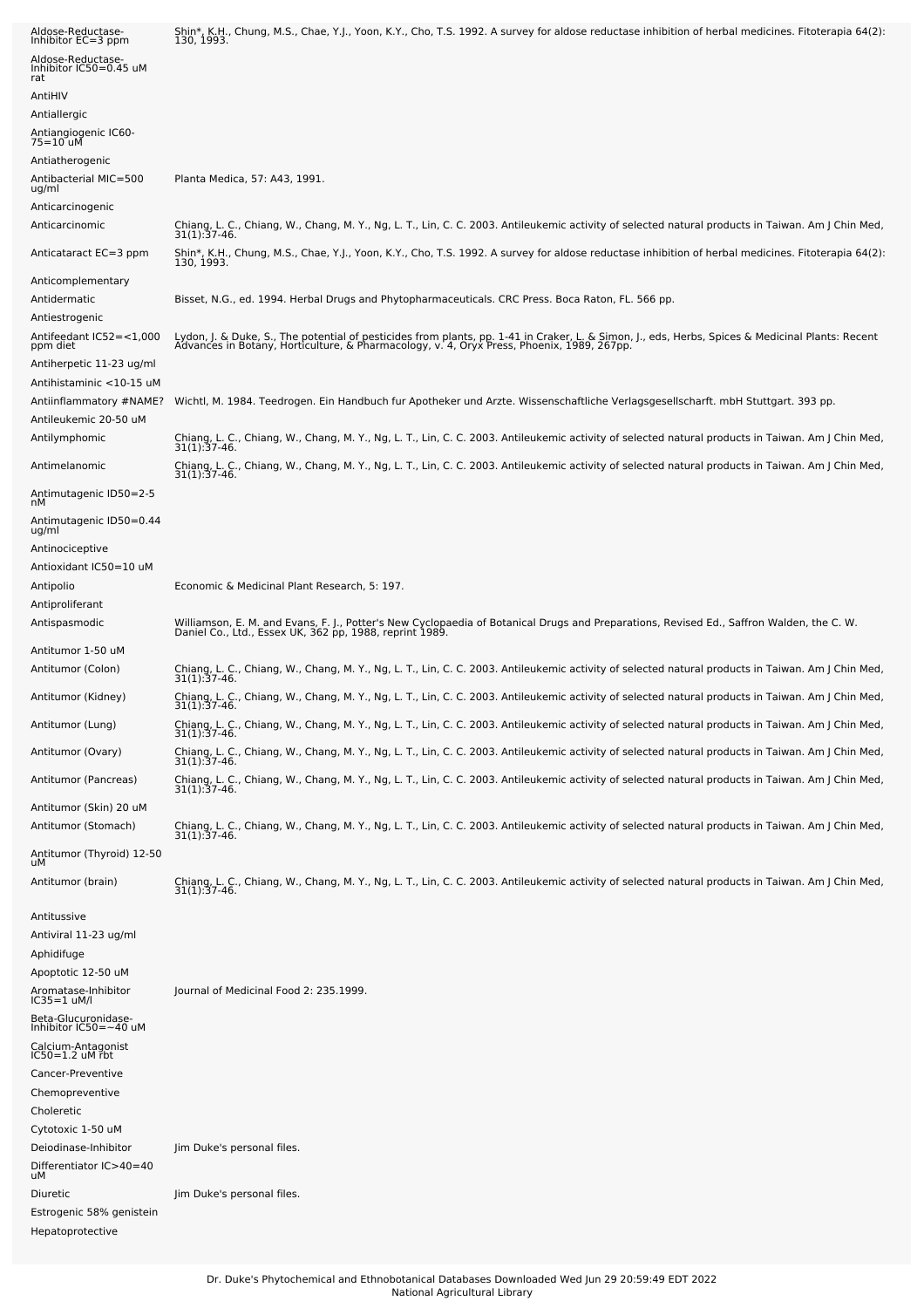| Aldose-Reductase-<br>Inhibitor EC=3 ppm               | Shin*, K.H., Chung, M.S., Chae, Y.J., Yoon, K.Y., Cho, T.S. 1992. A survey for aldose reductase inhibition of herbal medicines. Fitoterapia 64(2):<br>130, 1993.                                                                 |
|-------------------------------------------------------|----------------------------------------------------------------------------------------------------------------------------------------------------------------------------------------------------------------------------------|
| Aldose-Reductase-<br>Inhibitor IC50=0.45 uM<br>rat    |                                                                                                                                                                                                                                  |
| AntiHIV                                               |                                                                                                                                                                                                                                  |
| Antiallergic                                          |                                                                                                                                                                                                                                  |
| Antiangiogenic IC60-<br>75=10 uM                      |                                                                                                                                                                                                                                  |
| Antiatherogenic                                       |                                                                                                                                                                                                                                  |
| Antibacterial MIC=500<br>ug/ml                        | Planta Medica, 57: A43, 1991.                                                                                                                                                                                                    |
| Anticarcinogenic                                      |                                                                                                                                                                                                                                  |
| Anticarcinomic                                        | Chiang, L. C., Chiang, W., Chang, M. Y., Ng, L. T., Lin, C. C. 2003. Antileukemic activity of selected natural products in Taiwan. Am J Chin Med,<br>31(1): 37-46.                                                               |
| Anticataract EC=3 ppm                                 | Shin*, K.H., Chung, M.S., Chae, Y.J., Yoon, K.Y., Cho, T.S. 1992. A survey for aldose reductase inhibition of herbal medicines. Fitoterapia 64(2):<br>130, 1993.                                                                 |
| Anticomplementary                                     |                                                                                                                                                                                                                                  |
| Antidermatic<br>Antiestrogenic                        | Bisset, N.G., ed. 1994. Herbal Drugs and Phytopharmaceuticals. CRC Press. Boca Raton, FL. 566 pp.                                                                                                                                |
| Antifeedant IC52=<1,000<br>ppm diet                   | Lydon, J. & Duke, S., The potential of pesticides from plants, pp. 1-41 in Craker, L. & Simon, J., eds, Herbs, Spices & Medicinal Plants: Recent<br>Advances in Botany, Horticulture, & Pharmacology, v. 4, Oryx Press, Phoenix, |
| Antiherpetic 11-23 ug/ml<br>Antihistaminic <10-15 uM  |                                                                                                                                                                                                                                  |
| Antiinflammatory #NAME?                               | Wichtl, M. 1984. Teedrogen. Ein Handbuch fur Apotheker und Arzte. Wissenschaftliche Verlagsgesellscharft. mbH Stuttgart. 393 pp.                                                                                                 |
| Antileukemic 20-50 uM                                 |                                                                                                                                                                                                                                  |
| Antilymphomic                                         | Chiang, L. C., Chiang, W., Chang, M. Y., Ng, L. T., Lin, C. C. 2003. Antileukemic activity of selected natural products in Taiwan. Am J Chin Med,<br>31(1):37-46.                                                                |
| Antimelanomic                                         | Chiang, L. C., Chiang, W., Chang, M. Y., Ng, L. T., Lin, C. C. 2003. Antileukemic activity of selected natural products in Taiwan. Am J Chin Med,<br>31(1):37-46.                                                                |
| Antimutagenic ID50=2-5<br>nМ                          |                                                                                                                                                                                                                                  |
| Antimutagenic ID50=0.44<br>ug/ml                      |                                                                                                                                                                                                                                  |
| Antinociceptive                                       |                                                                                                                                                                                                                                  |
| Antioxidant IC50=10 uM                                |                                                                                                                                                                                                                                  |
| Antipolio                                             | Economic & Medicinal Plant Research, 5: 197.                                                                                                                                                                                     |
| Antiproliferant                                       |                                                                                                                                                                                                                                  |
| Antispasmodic                                         | Williamson, E. M. and Evans, F. J., Potter's New Cyclopaedia of Botanical Drugs and Preparations, Revised Ed., Saffron Walden, the C. W.<br>Daniel Co., Ltd., Essex UK, 362 pp, 1988, reprint 1989.                              |
| Antitumor 1-50 uM                                     |                                                                                                                                                                                                                                  |
| Antitumor (Colon)                                     | Chiang, L. C., Chiang, W., Chang, M. Y., Ng, L. T., Lin, C. C. 2003. Antileukemic activity of selected natural products in Taiwan. Am J Chin Med,<br>$31(1):37-46.$                                                              |
| Antitumor (Kidney)                                    | Chiang, L. C., Chiang, W., Chang, M. Y., Ng, L. T., Lin, C. C. 2003. Antileukemic activity of selected natural products in Taiwan. Am J Chin Med,<br>31(1):37-46.                                                                |
| Antitumor (Lung)                                      | Chiang, L. C., Chiang, W., Chang, M. Y., Ng, L. T., Lin, C. C. 2003. Antileukemic activity of selected natural products in Taiwan. Am J Chin Med,<br>$31(1):37-46.$                                                              |
| Antitumor (Ovary)                                     | Chiang, L. C., Chiang, W., Chang, M. Y., Ng, L. T., Lin, C. C. 2003. Antileukemic activity of selected natural products in Taiwan. Am J Chin Med,<br>31(1): 37-46.                                                               |
| Antitumor (Pancreas)                                  | Chiang, L. C., Chiang, W., Chang, M. Y., Ng, L. T., Lin, C. C. 2003. Antileukemic activity of selected natural products in Taiwan. Am J Chin Med,<br>31(1):37-46.                                                                |
| Antitumor (Skin) 20 uM                                |                                                                                                                                                                                                                                  |
| Antitumor (Stomach)                                   | Chiang, L. C., Chiang, W., Chang, M. Y., Ng, L. T., Lin, C. C. 2003. Antileukemic activity of selected natural products in Taiwan. Am J Chin Med,<br>31(1):37-46.                                                                |
| Antitumor (Thyroid) 12-50<br>uМ                       |                                                                                                                                                                                                                                  |
| Antitumor (brain)                                     | Chiang, L. C., Chiang, W., Chang, M. Y., Ng, L. T., Lin, C. C. 2003. Antileukemic activity of selected natural products in Taiwan. Am J Chin Med,<br>31(1):37-46.                                                                |
| Antitussive                                           |                                                                                                                                                                                                                                  |
| Antiviral 11-23 ug/ml                                 |                                                                                                                                                                                                                                  |
| Aphidifuge                                            |                                                                                                                                                                                                                                  |
| Apoptotic 12-50 uM                                    |                                                                                                                                                                                                                                  |
| Aromatase-Inhibitor<br>IC35=1 uM/l                    | Journal of Medicinal Food 2: 235.1999.                                                                                                                                                                                           |
| Beta-Glucuronidase-<br>Inhibitor IC50=~40 uM          |                                                                                                                                                                                                                                  |
| Calcium-Antagonist<br>$IC50 = 1.2$ uM rbt             |                                                                                                                                                                                                                                  |
| Cancer-Preventive                                     |                                                                                                                                                                                                                                  |
| Chemopreventive                                       |                                                                                                                                                                                                                                  |
| Choleretic                                            |                                                                                                                                                                                                                                  |
| Cytotoxic 1-50 uM                                     |                                                                                                                                                                                                                                  |
| Deiodinase-Inhibitor<br>Differentiator IC>40=40<br>uМ | Jim Duke's personal files.                                                                                                                                                                                                       |
| Diuretic                                              | Jim Duke's personal files.                                                                                                                                                                                                       |
| Estrogenic 58% genistein                              |                                                                                                                                                                                                                                  |
| Hepatoprotective                                      |                                                                                                                                                                                                                                  |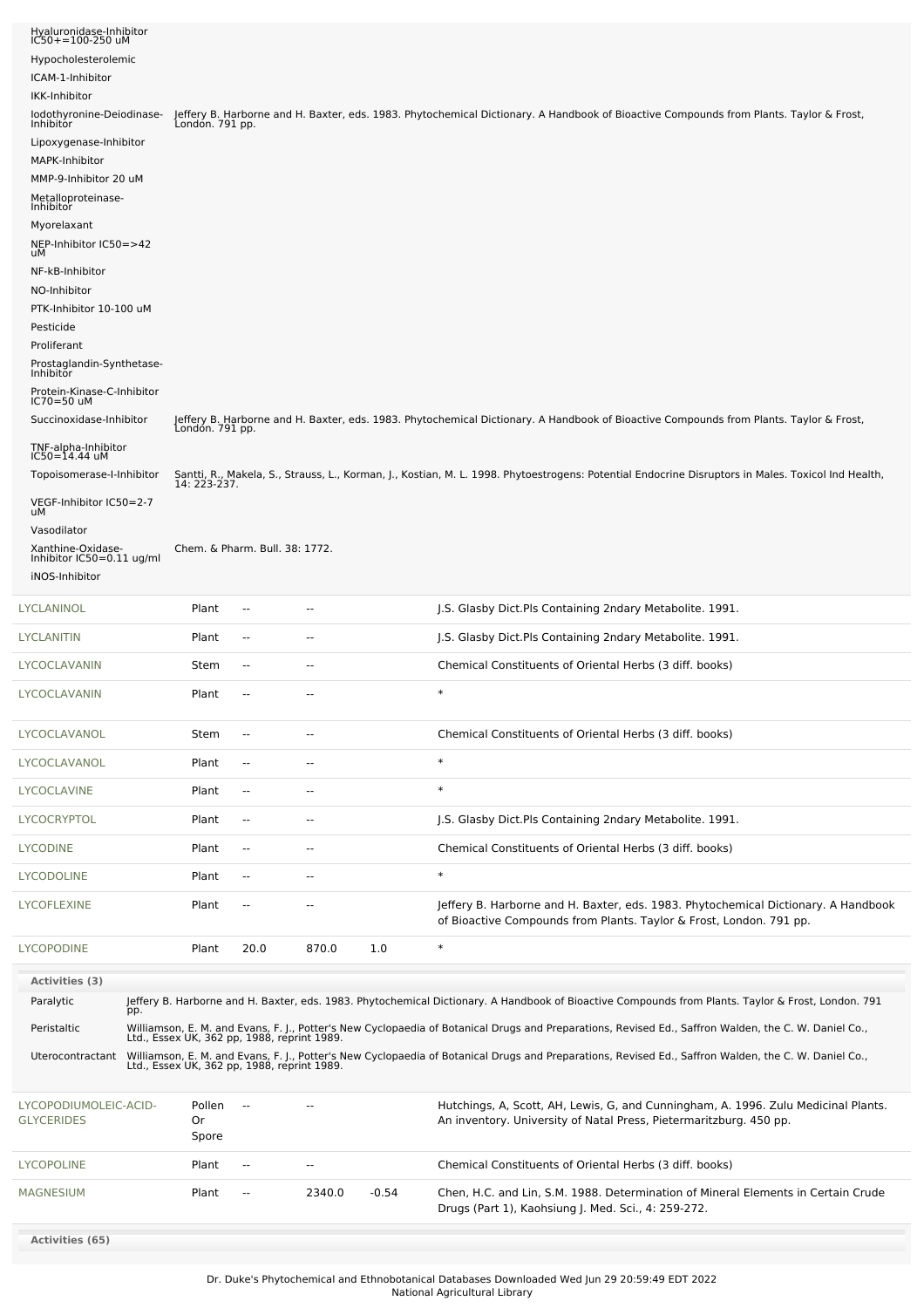| Hyaluronidase-Inhibitor<br>IC50+=100-250 uM<br>Hypocholesterolemic<br>ICAM-1-Inhibitor<br>IKK-Inhibitor<br>lodothyronine-Deiodinase-<br>Inhibitor<br>Lipoxygenase-Inhibitor<br>MAPK-Inhibitor<br>MMP-9-Inhibitor 20 uM<br>Metalloproteinase-<br>Inhibitor<br>Myorelaxant<br>NEP-Inhibitor IC50=>42<br>uМ<br>NF-kB-Inhibitor<br>NO-Inhibitor<br>PTK-Inhibitor 10-100 uM<br>Pesticide<br>Proliferant<br>Prostaglandin-Synthetase-<br>Inhibitor<br>Protein-Kinase-C-Inhibitor<br>IC70=50 uM<br>Succinoxidase-Inhibitor<br>TNF-alpha-Inhibitor<br>IC50=14.44 uM<br>Topoisomerase-I-Inhibitor<br>VEGF-Inhibitor IC50=2-7<br>uМ<br>Vasodilator<br>Xanthine-Oxidase-<br>Inhibitor $IC50=0.11$ ug/ml | Londón. 791 pp.<br>London. 791 pp.<br>14: 223-237.<br>Chem. & Pharm. Bull. 38: 1772. |                          |                          |         | Jeffery B. Harborne and H. Baxter, eds. 1983. Phytochemical Dictionary. A Handbook of Bioactive Compounds from Plants. Taylor & Frost,<br>Jeffery B. Harborne and H. Baxter, eds. 1983. Phytochemical Dictionary. A Handbook of Bioactive Compounds from Plants. Taylor & Frost,<br>Santti, R., Makela, S., Strauss, L., Korman, J., Kostian, M. L. 1998. Phytoestrogens: Potential Endocrine Disruptors in Males. Toxicol Ind Health, |
|----------------------------------------------------------------------------------------------------------------------------------------------------------------------------------------------------------------------------------------------------------------------------------------------------------------------------------------------------------------------------------------------------------------------------------------------------------------------------------------------------------------------------------------------------------------------------------------------------------------------------------------------------------------------------------------------|--------------------------------------------------------------------------------------|--------------------------|--------------------------|---------|----------------------------------------------------------------------------------------------------------------------------------------------------------------------------------------------------------------------------------------------------------------------------------------------------------------------------------------------------------------------------------------------------------------------------------------|
| iNOS-Inhibitor                                                                                                                                                                                                                                                                                                                                                                                                                                                                                                                                                                                                                                                                               |                                                                                      |                          |                          |         |                                                                                                                                                                                                                                                                                                                                                                                                                                        |
| LYCLANINOL                                                                                                                                                                                                                                                                                                                                                                                                                                                                                                                                                                                                                                                                                   | Plant                                                                                | $\overline{a}$           | н.                       |         | J.S. Glasby Dict.Pls Containing 2ndary Metabolite. 1991.                                                                                                                                                                                                                                                                                                                                                                               |
| LYCLANITIN                                                                                                                                                                                                                                                                                                                                                                                                                                                                                                                                                                                                                                                                                   | Plant                                                                                | $\sim$                   | --                       |         | J.S. Glasby Dict.Pls Containing 2ndary Metabolite. 1991.                                                                                                                                                                                                                                                                                                                                                                               |
| LYCOCLAVANIN                                                                                                                                                                                                                                                                                                                                                                                                                                                                                                                                                                                                                                                                                 | Stem                                                                                 | $\sim$                   | $-$                      |         | Chemical Constituents of Oriental Herbs (3 diff. books)                                                                                                                                                                                                                                                                                                                                                                                |
| LYCOCLAVANIN                                                                                                                                                                                                                                                                                                                                                                                                                                                                                                                                                                                                                                                                                 | Plant                                                                                | $\overline{a}$           | $-$                      |         | $\ast$                                                                                                                                                                                                                                                                                                                                                                                                                                 |
| LYCOCLAVANOL                                                                                                                                                                                                                                                                                                                                                                                                                                                                                                                                                                                                                                                                                 | Stem                                                                                 | $\overline{a}$           | --                       |         | Chemical Constituents of Oriental Herbs (3 diff. books)                                                                                                                                                                                                                                                                                                                                                                                |
| LYCOCLAVANOL                                                                                                                                                                                                                                                                                                                                                                                                                                                                                                                                                                                                                                                                                 | Plant                                                                                | $\overline{\phantom{a}}$ | --                       |         | $\ast$                                                                                                                                                                                                                                                                                                                                                                                                                                 |
| LYCOCLAVINE                                                                                                                                                                                                                                                                                                                                                                                                                                                                                                                                                                                                                                                                                  | Plant                                                                                | $\overline{\phantom{a}}$ | $\overline{\phantom{a}}$ |         | $\ast$                                                                                                                                                                                                                                                                                                                                                                                                                                 |
| LYCOCRYPTOL                                                                                                                                                                                                                                                                                                                                                                                                                                                                                                                                                                                                                                                                                  | Plant                                                                                | $\overline{\phantom{a}}$ | $\overline{\phantom{a}}$ |         | J.S. Glasby Dict.Pls Containing 2ndary Metabolite. 1991.                                                                                                                                                                                                                                                                                                                                                                               |
| LYCODINE                                                                                                                                                                                                                                                                                                                                                                                                                                                                                                                                                                                                                                                                                     | Plant                                                                                | $\overline{\phantom{a}}$ | $\overline{a}$           |         | Chemical Constituents of Oriental Herbs (3 diff. books)                                                                                                                                                                                                                                                                                                                                                                                |
| LYCODOLINE                                                                                                                                                                                                                                                                                                                                                                                                                                                                                                                                                                                                                                                                                   | Plant                                                                                | --                       | --                       |         | $\ast$                                                                                                                                                                                                                                                                                                                                                                                                                                 |
| LYCOFLEXINE                                                                                                                                                                                                                                                                                                                                                                                                                                                                                                                                                                                                                                                                                  | Plant                                                                                | $\overline{\phantom{a}}$ | ۰.                       |         | Jeffery B. Harborne and H. Baxter, eds. 1983. Phytochemical Dictionary. A Handbook<br>of Bioactive Compounds from Plants. Taylor & Frost, London. 791 pp.                                                                                                                                                                                                                                                                              |
| <b>LYCOPODINE</b>                                                                                                                                                                                                                                                                                                                                                                                                                                                                                                                                                                                                                                                                            | Plant                                                                                | 20.0                     | 870.0                    | 1.0     | $\ast$                                                                                                                                                                                                                                                                                                                                                                                                                                 |
| Activities (3)                                                                                                                                                                                                                                                                                                                                                                                                                                                                                                                                                                                                                                                                               |                                                                                      |                          |                          |         |                                                                                                                                                                                                                                                                                                                                                                                                                                        |
| Paralytic<br>pp.                                                                                                                                                                                                                                                                                                                                                                                                                                                                                                                                                                                                                                                                             |                                                                                      |                          |                          |         | Jeffery B. Harborne and H. Baxter, eds. 1983. Phytochemical Dictionary. A Handbook of Bioactive Compounds from Plants. Taylor & Frost, London. 791                                                                                                                                                                                                                                                                                     |
| Peristaltic                                                                                                                                                                                                                                                                                                                                                                                                                                                                                                                                                                                                                                                                                  |                                                                                      |                          |                          |         | Williamson, E. M. and Evans, F. J., Potter's New Cyclopaedia of Botanical Drugs and Preparations, Revised Ed., Saffron Walden, the C. W. Daniel Co., Ltd., Essex UK, 362 pp, 1988, reprint 1989.                                                                                                                                                                                                                                       |
| Uterocontractant                                                                                                                                                                                                                                                                                                                                                                                                                                                                                                                                                                                                                                                                             |                                                                                      |                          |                          |         | Williamson, E. M. and Evans, F. J., Potter's New Cyclopaedia of Botanical Drugs and Preparations, Revised Ed., Saffron Walden, the C. W. Daniel Co., Ltd., Essex UK, 362 pp, 1988, reprint 1989.                                                                                                                                                                                                                                       |
| LYCOPODIUMOLEIC-ACID-<br><b>GLYCERIDES</b>                                                                                                                                                                                                                                                                                                                                                                                                                                                                                                                                                                                                                                                   | Pollen<br>Or<br>Spore                                                                |                          |                          |         | Hutchings, A, Scott, AH, Lewis, G, and Cunningham, A. 1996. Zulu Medicinal Plants.<br>An inventory. University of Natal Press, Pietermaritzburg. 450 pp.                                                                                                                                                                                                                                                                               |
| LYCOPOLINE                                                                                                                                                                                                                                                                                                                                                                                                                                                                                                                                                                                                                                                                                   | Plant                                                                                | $\sim$                   | $\sim$ $\sim$            |         | Chemical Constituents of Oriental Herbs (3 diff. books)                                                                                                                                                                                                                                                                                                                                                                                |
| MAGNESIUM                                                                                                                                                                                                                                                                                                                                                                                                                                                                                                                                                                                                                                                                                    | Plant                                                                                | ۰.                       | 2340.0                   | $-0.54$ | Chen, H.C. and Lin, S.M. 1988. Determination of Mineral Elements in Certain Crude<br>Drugs (Part 1), Kaohsiung J. Med. Sci., 4: 259-272.                                                                                                                                                                                                                                                                                               |
| Activities (65)                                                                                                                                                                                                                                                                                                                                                                                                                                                                                                                                                                                                                                                                              |                                                                                      |                          |                          |         |                                                                                                                                                                                                                                                                                                                                                                                                                                        |
|                                                                                                                                                                                                                                                                                                                                                                                                                                                                                                                                                                                                                                                                                              |                                                                                      |                          |                          |         |                                                                                                                                                                                                                                                                                                                                                                                                                                        |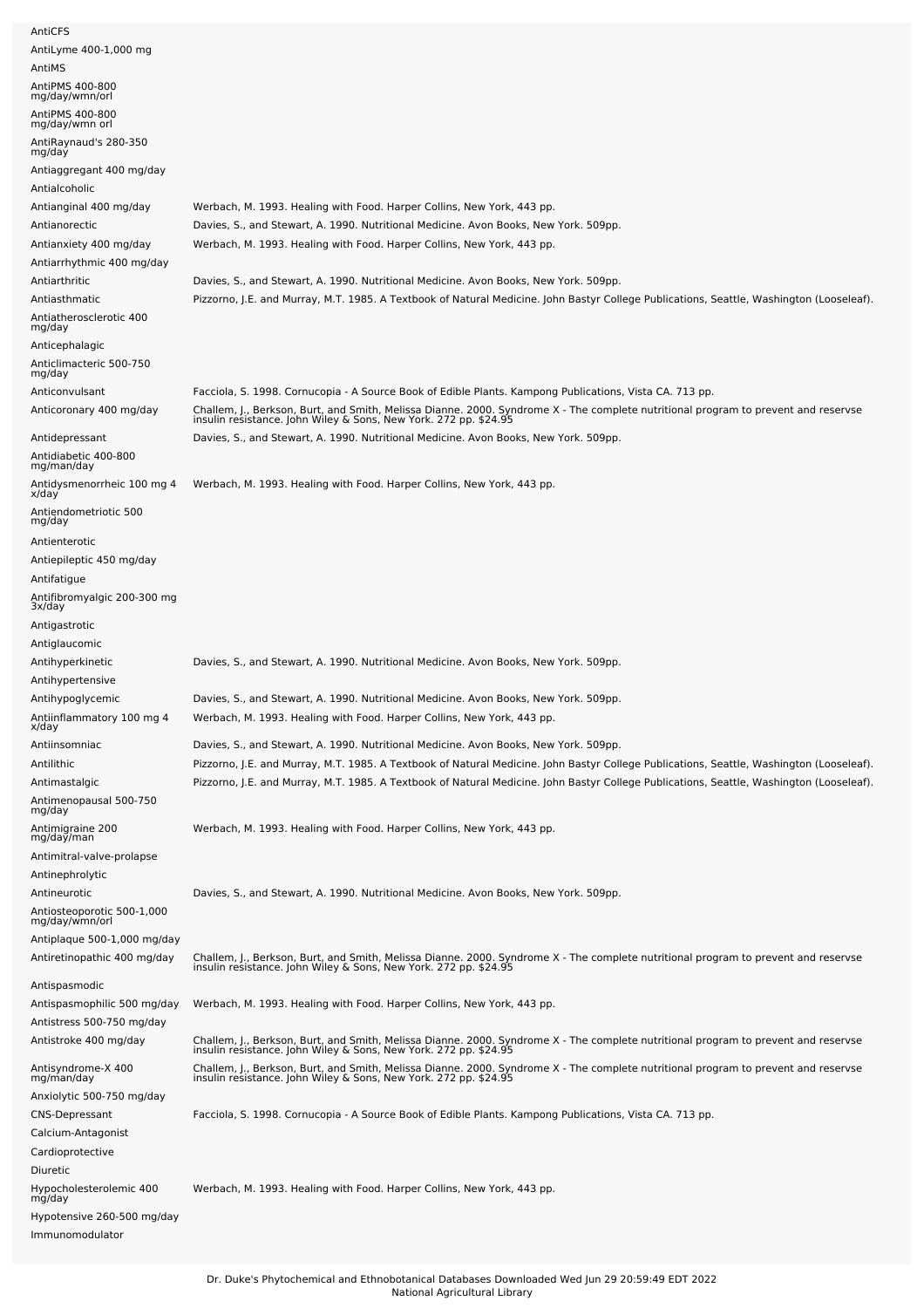| AntiCFS                                                |                                                                                                                                                                                                        |
|--------------------------------------------------------|--------------------------------------------------------------------------------------------------------------------------------------------------------------------------------------------------------|
| AntiLyme 400-1,000 mg                                  |                                                                                                                                                                                                        |
| AntiMS<br>AntiPMS 400-800                              |                                                                                                                                                                                                        |
| mg/day/wmn/orl                                         |                                                                                                                                                                                                        |
| AntiPMS 400-800<br>mg/day/wmn orl                      |                                                                                                                                                                                                        |
| AntiRaynaud's 280-350                                  |                                                                                                                                                                                                        |
| mg/day                                                 |                                                                                                                                                                                                        |
| Antiaggregant 400 mg/day<br>Antialcoholic              |                                                                                                                                                                                                        |
| Antianginal 400 mg/day                                 | Werbach, M. 1993. Healing with Food. Harper Collins, New York, 443 pp.                                                                                                                                 |
| Antianorectic                                          | Davies, S., and Stewart, A. 1990. Nutritional Medicine. Avon Books, New York. 509pp.                                                                                                                   |
| Antianxiety 400 mg/day                                 | Werbach, M. 1993. Healing with Food. Harper Collins, New York, 443 pp.                                                                                                                                 |
| Antiarrhythmic 400 mg/day                              |                                                                                                                                                                                                        |
| Antiarthritic                                          | Davies, S., and Stewart, A. 1990. Nutritional Medicine. Avon Books, New York. 509pp.                                                                                                                   |
| Antiasthmatic                                          | Pizzorno, J.E. and Murray, M.T. 1985. A Textbook of Natural Medicine. John Bastyr College Publications, Seattle, Washington (Looseleaf).                                                               |
| Antiatherosclerotic 400<br>mg/day                      |                                                                                                                                                                                                        |
| Anticephalagic                                         |                                                                                                                                                                                                        |
| Anticlimacteric 500-750                                |                                                                                                                                                                                                        |
| mg/day                                                 |                                                                                                                                                                                                        |
| Anticonvulsant                                         | Facciola, S. 1998. Cornucopia - A Source Book of Edible Plants. Kampong Publications, Vista CA. 713 pp.                                                                                                |
| Anticoronary 400 mg/day                                | Challem, J., Berkson, Burt, and Smith, Melissa Dianne. 2000. Syndrome X - The complete nutritional program to prevent and reservse<br>insulin resistance. John Wiley & Sons, New York. 272 pp. \$24.95 |
| Antidepressant                                         | Davies, S., and Stewart, A. 1990. Nutritional Medicine. Avon Books, New York. 509pp.                                                                                                                   |
| Antidiabetic 400-800<br>mg/man/day                     |                                                                                                                                                                                                        |
| Antidysmenorrheic 100 mg 4                             | Werbach, M. 1993. Healing with Food. Harper Collins, New York, 443 pp.                                                                                                                                 |
| x/day<br>Antiendometriotic 500                         |                                                                                                                                                                                                        |
| mg/day                                                 |                                                                                                                                                                                                        |
| Antienterotic                                          |                                                                                                                                                                                                        |
| Antiepileptic 450 mg/day                               |                                                                                                                                                                                                        |
| Antifatigue                                            |                                                                                                                                                                                                        |
| Antifibromyalgic 200-300 mg<br>3x/day<br>Antigastrotic |                                                                                                                                                                                                        |
|                                                        |                                                                                                                                                                                                        |
|                                                        |                                                                                                                                                                                                        |
| Antiglaucomic                                          |                                                                                                                                                                                                        |
| Antihyperkinetic<br>Antihypertensive                   | Davies, S., and Stewart, A. 1990. Nutritional Medicine. Avon Books, New York. 509pp.                                                                                                                   |
| Antihypoglycemic                                       | Davies, S., and Stewart, A. 1990. Nutritional Medicine. Avon Books, New York. 509pp.                                                                                                                   |
| Antiinflammatory 100 mg 4<br>x/day                     | Werbach, M. 1993. Healing with Food. Harper Collins, New York, 443 pp.                                                                                                                                 |
| Antiinsomniac                                          | Davies, S., and Stewart, A. 1990. Nutritional Medicine. Avon Books, New York. 509pp.                                                                                                                   |
| Antilithic                                             | Pizzorno, J.E. and Murray, M.T. 1985. A Textbook of Natural Medicine. John Bastyr College Publications, Seattle, Washington (Looseleaf).                                                               |
| Antimastalgic                                          | Pizzorno, J.E. and Murray, M.T. 1985. A Textbook of Natural Medicine. John Bastyr College Publications, Seattle, Washington (Looseleaf).                                                               |
| Antimenopausal 500-750<br>mg/day                       |                                                                                                                                                                                                        |
| Antimigraine 200                                       | Werbach, M. 1993. Healing with Food. Harper Collins, New York, 443 pp.                                                                                                                                 |
| mg/day/man                                             |                                                                                                                                                                                                        |
| Antimitral-valve-prolapse                              |                                                                                                                                                                                                        |
| Antinephrolytic                                        |                                                                                                                                                                                                        |
| Antineurotic                                           | Davies, S., and Stewart, A. 1990. Nutritional Medicine. Avon Books, New York. 509pp.                                                                                                                   |
| Antiosteoporotic 500-1,000<br>mg/day/wmn/orl           |                                                                                                                                                                                                        |
| Antiplaque 500-1,000 mg/day                            |                                                                                                                                                                                                        |
| Antiretinopathic 400 mg/day                            | Challem, J., Berkson, Burt, and Smith, Melissa Dianne. 2000. Syndrome X - The complete nutritional program to prevent and reservse insulin resistance. John Wiley & Sons, New York. 272 pp. \$24.95    |
| Antispasmodic                                          |                                                                                                                                                                                                        |
| Antispasmophilic 500 mg/day                            | Werbach, M. 1993. Healing with Food. Harper Collins, New York, 443 pp.                                                                                                                                 |
| Antistress 500-750 mg/day                              |                                                                                                                                                                                                        |
| Antistroke 400 mg/day                                  | Challem, J., Berkson, Burt, and Smith, Melissa Dianne. 2000. Syndrome X - The complete nutritional program to prevent and reservse<br>insulin resistance. John Wiley & Sons, New York. 272 pp. \$24.95 |
| Antisyndrome-X 400<br>mg/man/day                       |                                                                                                                                                                                                        |
| Anxiolytic 500-750 mg/day                              | Challem, J., Berkson, Burt, and Smith, Melissa Dianne. 2000. Syndrome X - The complete nutritional program to prevent and reservse<br>insulin resistance. John Wiley & Sons, New York. 272 pp. \$24.95 |
| <b>CNS-Depressant</b>                                  | Facciola, S. 1998. Cornucopia - A Source Book of Edible Plants. Kampong Publications, Vista CA. 713 pp.                                                                                                |
| Calcium-Antagonist                                     |                                                                                                                                                                                                        |
| Cardioprotective                                       |                                                                                                                                                                                                        |
| Diuretic                                               |                                                                                                                                                                                                        |
| Hypocholesterolemic 400<br>mg/day                      | Werbach, M. 1993. Healing with Food. Harper Collins, New York, 443 pp.                                                                                                                                 |
| Hypotensive 260-500 mg/day                             |                                                                                                                                                                                                        |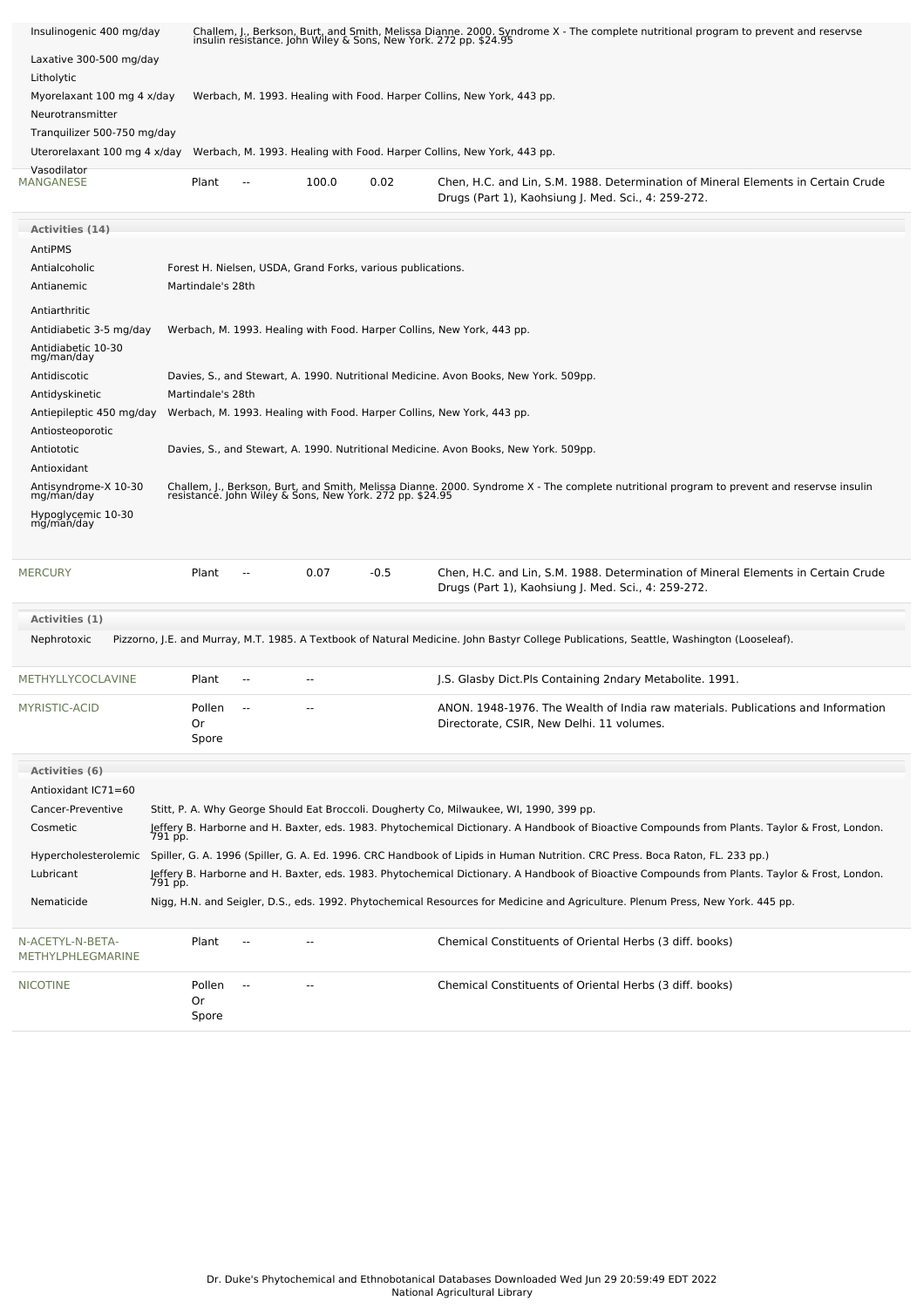| Insulinogenic 400 mg/day<br>Laxative 300-500 mg/day                           |         |                                                                        |            |                                                             |        | Challem, J., Berkson, Burt, and Smith, Melissa Dianne. 2000. Syndrome X - The complete nutritional program to prevent and reservse<br>insulin resistance. John Wiley & Sons, New York. 272 pp. \$24.95 |  |  |  |  |  |  |
|-------------------------------------------------------------------------------|---------|------------------------------------------------------------------------|------------|-------------------------------------------------------------|--------|--------------------------------------------------------------------------------------------------------------------------------------------------------------------------------------------------------|--|--|--|--|--|--|
| Litholytic                                                                    |         |                                                                        |            |                                                             |        |                                                                                                                                                                                                        |  |  |  |  |  |  |
| Myorelaxant 100 mg 4 x/day<br>Neurotransmitter<br>Tranquilizer 500-750 mg/day |         | Werbach, M. 1993. Healing with Food. Harper Collins, New York, 443 pp. |            |                                                             |        |                                                                                                                                                                                                        |  |  |  |  |  |  |
|                                                                               |         |                                                                        |            |                                                             |        |                                                                                                                                                                                                        |  |  |  |  |  |  |
|                                                                               |         |                                                                        |            |                                                             |        |                                                                                                                                                                                                        |  |  |  |  |  |  |
| Uterorelaxant 100 mg 4 x/day                                                  |         |                                                                        |            |                                                             |        | Werbach, M. 1993. Healing with Food. Harper Collins, New York, 443 pp.                                                                                                                                 |  |  |  |  |  |  |
| Vasodilator                                                                   |         |                                                                        |            |                                                             |        |                                                                                                                                                                                                        |  |  |  |  |  |  |
| <b>MANGANESE</b>                                                              |         | Plant                                                                  | --         | 100.0                                                       | 0.02   | Chen, H.C. and Lin, S.M. 1988. Determination of Mineral Elements in Certain Crude<br>Drugs (Part 1), Kaohsiung J. Med. Sci., 4: 259-272.                                                               |  |  |  |  |  |  |
| <b>Activities (14)</b>                                                        |         |                                                                        |            |                                                             |        |                                                                                                                                                                                                        |  |  |  |  |  |  |
| AntiPMS                                                                       |         |                                                                        |            |                                                             |        |                                                                                                                                                                                                        |  |  |  |  |  |  |
| Antialcoholic                                                                 |         |                                                                        |            | Forest H. Nielsen, USDA, Grand Forks, various publications. |        |                                                                                                                                                                                                        |  |  |  |  |  |  |
| Antianemic                                                                    |         | Martindale's 28th                                                      |            |                                                             |        |                                                                                                                                                                                                        |  |  |  |  |  |  |
| Antiarthritic                                                                 |         |                                                                        |            |                                                             |        |                                                                                                                                                                                                        |  |  |  |  |  |  |
| Antidiabetic 3-5 mg/day                                                       |         |                                                                        |            |                                                             |        | Werbach, M. 1993. Healing with Food. Harper Collins, New York, 443 pp.                                                                                                                                 |  |  |  |  |  |  |
| Antidiabetic 10-30<br>mg/man/day                                              |         |                                                                        |            |                                                             |        |                                                                                                                                                                                                        |  |  |  |  |  |  |
| Antidiscotic                                                                  |         |                                                                        |            |                                                             |        | Davies, S., and Stewart, A. 1990. Nutritional Medicine. Avon Books, New York. 509pp.                                                                                                                   |  |  |  |  |  |  |
| Antidyskinetic                                                                |         | Martindale's 28th                                                      |            |                                                             |        |                                                                                                                                                                                                        |  |  |  |  |  |  |
| Antiepileptic 450 mg/day                                                      |         |                                                                        |            |                                                             |        | Werbach, M. 1993. Healing with Food. Harper Collins, New York, 443 pp.                                                                                                                                 |  |  |  |  |  |  |
| Antiosteoporotic                                                              |         |                                                                        |            |                                                             |        |                                                                                                                                                                                                        |  |  |  |  |  |  |
| Antiototic                                                                    |         |                                                                        |            |                                                             |        | Davies, S., and Stewart, A. 1990. Nutritional Medicine. Avon Books, New York. 509pp.                                                                                                                   |  |  |  |  |  |  |
| Antioxidant                                                                   |         |                                                                        |            |                                                             |        |                                                                                                                                                                                                        |  |  |  |  |  |  |
| Antisyndrome-X 10-30                                                          |         |                                                                        |            |                                                             |        | Challem, J., Berkson, Burt, and Smith, Melissa Dianne. 2000. Syndrome X - The complete nutritional program to prevent and reservse insulin<br>resistance. John Wiley & Sons, New York. 272 pp. \$24.95 |  |  |  |  |  |  |
| mg/man/day<br>Hypoglycemic 10-30<br>mg/man/day                                |         |                                                                        |            |                                                             |        |                                                                                                                                                                                                        |  |  |  |  |  |  |
| <b>MERCURY</b>                                                                |         | Plant                                                                  | --         | 0.07                                                        | $-0.5$ | Chen, H.C. and Lin, S.M. 1988. Determination of Mineral Elements in Certain Crude                                                                                                                      |  |  |  |  |  |  |
|                                                                               |         |                                                                        |            |                                                             |        | Drugs (Part 1), Kaohsiung J. Med. Sci., 4: 259-272.                                                                                                                                                    |  |  |  |  |  |  |
| <b>Activities (1)</b>                                                         |         |                                                                        |            |                                                             |        |                                                                                                                                                                                                        |  |  |  |  |  |  |
| Nephrotoxic                                                                   |         |                                                                        |            |                                                             |        | Pizzorno, J.E. and Murray, M.T. 1985. A Textbook of Natural Medicine. John Bastyr College Publications, Seattle, Washington (Looseleaf).                                                               |  |  |  |  |  |  |
| METHYLLYCOCLAVINE                                                             |         | Plant                                                                  |            |                                                             |        | J.S. Glasby Dict.Pls Containing 2ndary Metabolite. 1991.                                                                                                                                               |  |  |  |  |  |  |
| MYRISTIC-ACID                                                                 |         | Pollen<br>Or<br>Spore                                                  |            |                                                             |        | ANON. 1948-1976. The Wealth of India raw materials. Publications and Information<br>Directorate, CSIR, New Delhi. 11 volumes.                                                                          |  |  |  |  |  |  |
| Activities (6)                                                                |         |                                                                        |            |                                                             |        |                                                                                                                                                                                                        |  |  |  |  |  |  |
| Antioxidant IC71=60                                                           |         |                                                                        |            |                                                             |        |                                                                                                                                                                                                        |  |  |  |  |  |  |
| Cancer-Preventive                                                             |         |                                                                        |            |                                                             |        | Stitt, P. A. Why George Should Eat Broccoli. Dougherty Co, Milwaukee, WI, 1990, 399 pp.                                                                                                                |  |  |  |  |  |  |
| Cosmetic                                                                      |         |                                                                        |            |                                                             |        | Jeffery B. Harborne and H. Baxter, eds. 1983. Phytochemical Dictionary. A Handbook of Bioactive Compounds from Plants. Taylor & Frost, London.<br>791 pp.                                              |  |  |  |  |  |  |
|                                                                               |         |                                                                        |            |                                                             |        |                                                                                                                                                                                                        |  |  |  |  |  |  |
|                                                                               |         |                                                                        |            |                                                             |        | Hypercholesterolemic Spiller, G. A. 1996 (Spiller, G. A. Ed. 1996. CRC Handbook of Lipids in Human Nutrition. CRC Press. Boca Raton, FL. 233 pp.)                                                      |  |  |  |  |  |  |
| Lubricant                                                                     | 791 pp. |                                                                        |            |                                                             |        | Jeffery B. Harborne and H. Baxter, eds. 1983. Phytochemical Dictionary. A Handbook of Bioactive Compounds from Plants. Taylor & Frost, London.                                                         |  |  |  |  |  |  |
| Nematicide                                                                    |         |                                                                        |            |                                                             |        | Nigg, H.N. and Seigler, D.S., eds. 1992. Phytochemical Resources for Medicine and Agriculture. Plenum Press, New York. 445 pp.                                                                         |  |  |  |  |  |  |
| N-ACETYL-N-BETA-<br>METHYLPHLEGMARINE                                         |         | Plant                                                                  |            |                                                             |        | Chemical Constituents of Oriental Herbs (3 diff. books)                                                                                                                                                |  |  |  |  |  |  |
| <b>NICOTINE</b>                                                               |         | Pollen<br>Or<br>Spore                                                  | $\sim$ $-$ |                                                             |        | Chemical Constituents of Oriental Herbs (3 diff. books)                                                                                                                                                |  |  |  |  |  |  |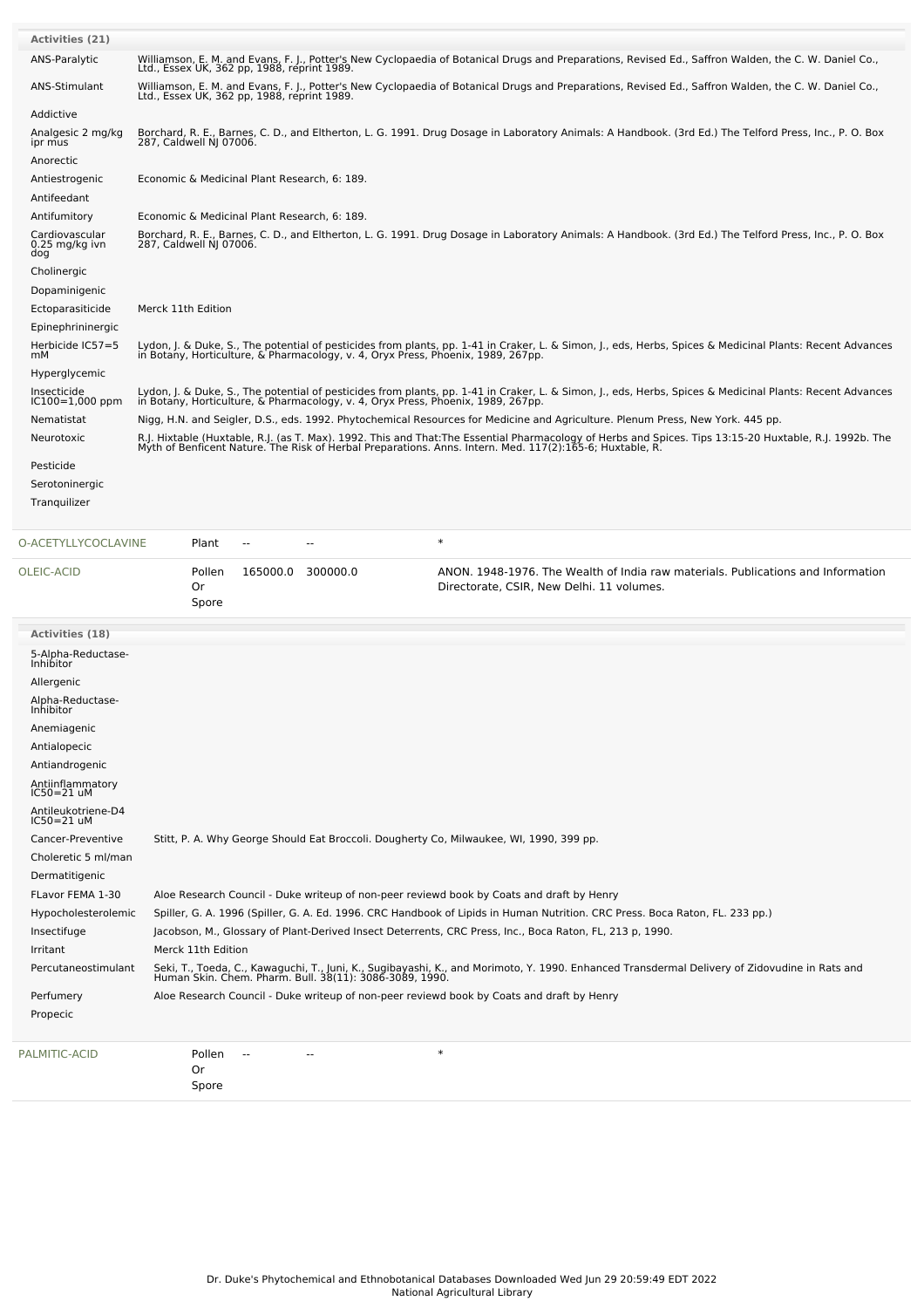| <b>Activities (21)</b>                  |                                                                                                                                                                                                     |                         |                                             |                                                                                  |                                                                                                                                                                                                                                   |  |  |  |  |
|-----------------------------------------|-----------------------------------------------------------------------------------------------------------------------------------------------------------------------------------------------------|-------------------------|---------------------------------------------|----------------------------------------------------------------------------------|-----------------------------------------------------------------------------------------------------------------------------------------------------------------------------------------------------------------------------------|--|--|--|--|
| ANS-Paralytic                           |                                                                                                                                                                                                     |                         | Ltd., Essex UK, 362 pp, 1988, reprint 1989. |                                                                                  | Williamson, E. M. and Evans, F. J., Potter's New Cyclopaedia of Botanical Drugs and Preparations, Revised Ed., Saffron Walden, the C. W. Daniel Co.,                                                                              |  |  |  |  |
| <b>ANS-Stimulant</b>                    | Williamson, E. M. and Evans, F. J., Potter's New Cyclopaedia of Botanical Drugs and Preparations, Revised Ed., Saffron Walden, the C. W. Daniel Co.,<br>Ltd., Essex UK, 362 pp, 1988, reprint 1989. |                         |                                             |                                                                                  |                                                                                                                                                                                                                                   |  |  |  |  |
| Addictive                               |                                                                                                                                                                                                     |                         |                                             |                                                                                  |                                                                                                                                                                                                                                   |  |  |  |  |
| Analgesic 2 mg/kg<br>ipr mus            |                                                                                                                                                                                                     | 287, Caldwell NJ 07006. |                                             |                                                                                  | Borchard, R. E., Barnes, C. D., and Eltherton, L. G. 1991. Drug Dosage in Laboratory Animals: A Handbook. (3rd Ed.) The Telford Press, Inc., P. O. Box                                                                            |  |  |  |  |
| Anorectic                               |                                                                                                                                                                                                     |                         |                                             |                                                                                  |                                                                                                                                                                                                                                   |  |  |  |  |
| Antiestrogenic                          |                                                                                                                                                                                                     |                         |                                             | Economic & Medicinal Plant Research, 6: 189.                                     |                                                                                                                                                                                                                                   |  |  |  |  |
| Antifeedant                             |                                                                                                                                                                                                     |                         |                                             |                                                                                  |                                                                                                                                                                                                                                   |  |  |  |  |
| Antifumitory                            |                                                                                                                                                                                                     |                         |                                             | Economic & Medicinal Plant Research, 6: 189.                                     |                                                                                                                                                                                                                                   |  |  |  |  |
| Cardiovascular<br>0.25 mg/kg ivn<br>dog |                                                                                                                                                                                                     |                         |                                             |                                                                                  | Borchard, R. E., Barnes, C. D., and Eltherton, L. G. 1991. Drug Dosage in Laboratory Animals: A Handbook. (3rd Ed.) The Telford Press, Inc., P. O. Box<br>287, Caldwell NJ 07006.                                                 |  |  |  |  |
| Cholinergic                             |                                                                                                                                                                                                     |                         |                                             |                                                                                  |                                                                                                                                                                                                                                   |  |  |  |  |
| Dopaminigenic                           |                                                                                                                                                                                                     |                         |                                             |                                                                                  |                                                                                                                                                                                                                                   |  |  |  |  |
| Ectoparasiticide                        | Merck 11th Edition                                                                                                                                                                                  |                         |                                             |                                                                                  |                                                                                                                                                                                                                                   |  |  |  |  |
| Epinephrininergic                       |                                                                                                                                                                                                     |                         |                                             |                                                                                  |                                                                                                                                                                                                                                   |  |  |  |  |
| Herbicide IC57=5<br>mМ                  |                                                                                                                                                                                                     |                         |                                             |                                                                                  | Lydon, J. & Duke, S., The potential of pesticides from plants, pp. 1-41 in Craker, L. & Simon, J., eds, Herbs, Spices & Medicinal Plants: Recent Advances<br>in Botany, Horticulture, & Pharmacology, v. 4, Oryx Press, Phoenix,  |  |  |  |  |
| Hyperglycemic                           |                                                                                                                                                                                                     |                         |                                             |                                                                                  |                                                                                                                                                                                                                                   |  |  |  |  |
| Insecticide<br>$IC100=1,000$ ppm        |                                                                                                                                                                                                     |                         |                                             | in Botany, Horticulture, & Pharmacology, v. 4, Oryx Press, Phoenix, 1989, 267pp. | Lydon, J. & Duke, S., The potential of pesticides from plants, pp. 1-41 in Craker, L. & Simon, J., eds, Herbs, Spices & Medicinal Plants: Recent Advances                                                                         |  |  |  |  |
| Nematistat                              |                                                                                                                                                                                                     |                         |                                             |                                                                                  | Nigg, H.N. and Seigler, D.S., eds. 1992. Phytochemical Resources for Medicine and Agriculture. Plenum Press, New York. 445 pp.                                                                                                    |  |  |  |  |
| Neurotoxic                              |                                                                                                                                                                                                     |                         |                                             |                                                                                  | R.J. Hixtable (Huxtable, R.J. (as T. Max). 1992. This and That:The Essential Pharmacology of Herbs and Spices. Tips 13:15-20 Huxtable, R.J. 1992b. The<br>Myth of Benficent Nature. The Risk of Herbal Preparations. Anns. Intern |  |  |  |  |
| Pesticide                               |                                                                                                                                                                                                     |                         |                                             |                                                                                  |                                                                                                                                                                                                                                   |  |  |  |  |
| Serotoninergic                          |                                                                                                                                                                                                     |                         |                                             |                                                                                  |                                                                                                                                                                                                                                   |  |  |  |  |
| Tranquilizer                            |                                                                                                                                                                                                     |                         |                                             |                                                                                  |                                                                                                                                                                                                                                   |  |  |  |  |
| O-ACETYLLYCOCLAVINE                     |                                                                                                                                                                                                     | Plant                   | ۵.                                          |                                                                                  | $\ast$                                                                                                                                                                                                                            |  |  |  |  |
| OLEIC-ACID                              |                                                                                                                                                                                                     | Pollen<br>Or<br>Spore   |                                             | 165000.0 300000.0                                                                | ANON. 1948-1976. The Wealth of India raw materials. Publications and Information<br>Directorate, CSIR, New Delhi. 11 volumes.                                                                                                     |  |  |  |  |
| <b>Activities (18)</b>                  |                                                                                                                                                                                                     |                         |                                             |                                                                                  |                                                                                                                                                                                                                                   |  |  |  |  |
| 5-Alpha-Reductase-<br><b>Inhibitor</b>  |                                                                                                                                                                                                     |                         |                                             |                                                                                  |                                                                                                                                                                                                                                   |  |  |  |  |
| Allergenic                              |                                                                                                                                                                                                     |                         |                                             |                                                                                  |                                                                                                                                                                                                                                   |  |  |  |  |
| Alpha-Reductase-<br>Inhibitor           |                                                                                                                                                                                                     |                         |                                             |                                                                                  |                                                                                                                                                                                                                                   |  |  |  |  |
| Anemiagenic                             |                                                                                                                                                                                                     |                         |                                             |                                                                                  |                                                                                                                                                                                                                                   |  |  |  |  |

|  | Antiondrog |  |
|--|------------|--|

Antialopecic Antiandrogenic Antiinflammatory IC50=21 uM Antileukotriene-D4 IC50=21 uM Cancer-Preventive Stitt, P. A. Why George Should Eat Broccoli. Dougherty Co, Milwaukee, WI, 1990, 399 pp. Choleretic 5 ml/man Dermatitigenic

FLavor FEMA 1-30 Aloe Research Council - Duke writeup of non-peer reviewd book by Coats and draft by Henry Hypocholesterolemic Spiller, G. A. 1996 (Spiller, G. A. Ed. 1996. CRC Handbook of Lipids in Human Nutrition. CRC Press. Boca Raton, FL. 233 pp.) Insectifuge Jacobson, M., Glossary of Plant-Derived Insect Deterrents, CRC Press, Inc., Boca Raton, FL, 213 p, 1990. Irritant Merck 11th Edition Percutaneostimulant Seki, T., Toeda, C., Kawaguchi, T., Juni, K., Sugibayashi, K., and Morimoto, Y. 1990. Enhanced Transdermal Delivery of Zidovudine in Rats and Human Skin. Chem. Pharm. Bull. 38(11): 3086-3089, 1990. Perfumery Aloe Research Council - Duke writeup of non-peer reviewd book by Coats and draft by Henry Propecic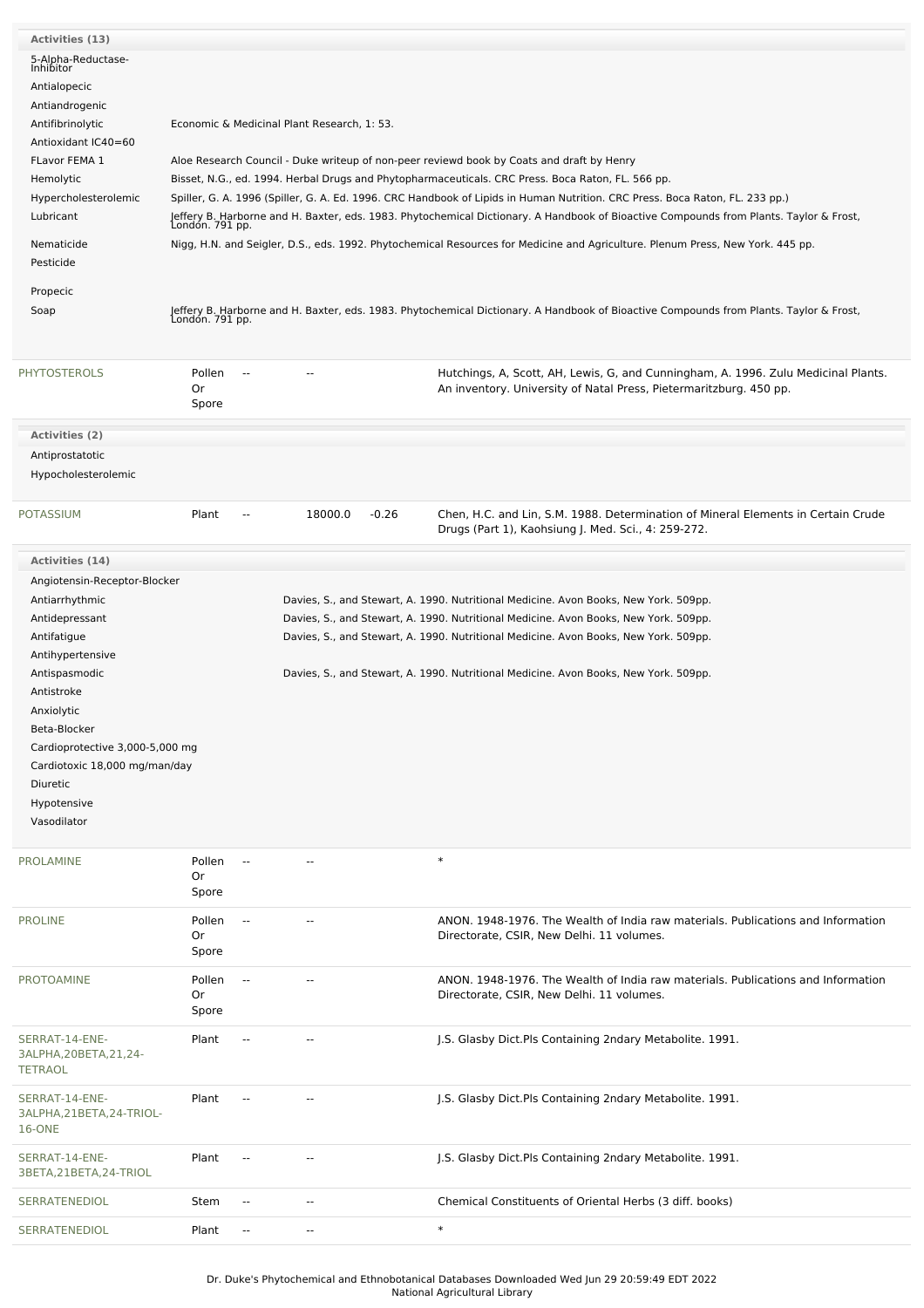| Activities (13)                                              |                                             |                                                                                                                                                                                                                                                                        |         |         |                                                                                                                                                                                                |  |  |  |
|--------------------------------------------------------------|---------------------------------------------|------------------------------------------------------------------------------------------------------------------------------------------------------------------------------------------------------------------------------------------------------------------------|---------|---------|------------------------------------------------------------------------------------------------------------------------------------------------------------------------------------------------|--|--|--|
| 5-Alpha-Reductase-                                           |                                             |                                                                                                                                                                                                                                                                        |         |         |                                                                                                                                                                                                |  |  |  |
| Inhibitor                                                    |                                             |                                                                                                                                                                                                                                                                        |         |         |                                                                                                                                                                                                |  |  |  |
| Antialopecic                                                 |                                             |                                                                                                                                                                                                                                                                        |         |         |                                                                                                                                                                                                |  |  |  |
| Antiandrogenic                                               | Economic & Medicinal Plant Research, 1: 53. |                                                                                                                                                                                                                                                                        |         |         |                                                                                                                                                                                                |  |  |  |
| Antifibrinolytic                                             |                                             |                                                                                                                                                                                                                                                                        |         |         |                                                                                                                                                                                                |  |  |  |
| Antioxidant IC40=60                                          |                                             |                                                                                                                                                                                                                                                                        |         |         |                                                                                                                                                                                                |  |  |  |
| FLavor FEMA 1<br>Hemolytic                                   |                                             |                                                                                                                                                                                                                                                                        |         |         | Aloe Research Council - Duke writeup of non-peer reviewd book by Coats and draft by Henry<br>Bisset, N.G., ed. 1994. Herbal Drugs and Phytopharmaceuticals. CRC Press. Boca Raton, FL. 566 pp. |  |  |  |
| Hypercholesterolemic                                         |                                             |                                                                                                                                                                                                                                                                        |         |         |                                                                                                                                                                                                |  |  |  |
| Lubricant                                                    |                                             | Spiller, G. A. 1996 (Spiller, G. A. Ed. 1996. CRC Handbook of Lipids in Human Nutrition. CRC Press. Boca Raton, FL. 233 pp.)<br>Jeffery B. Harborne and H. Baxter, eds. 1983. Phytochemical Dictionary. A Handbook of Bioactive Compounds from Plants. Taylor & Frost, |         |         |                                                                                                                                                                                                |  |  |  |
|                                                              | London. 791 pp.                             |                                                                                                                                                                                                                                                                        |         |         |                                                                                                                                                                                                |  |  |  |
| Nematicide                                                   |                                             | Nigg, H.N. and Seigler, D.S., eds. 1992. Phytochemical Resources for Medicine and Agriculture. Plenum Press, New York. 445 pp.                                                                                                                                         |         |         |                                                                                                                                                                                                |  |  |  |
| Pesticide                                                    |                                             |                                                                                                                                                                                                                                                                        |         |         |                                                                                                                                                                                                |  |  |  |
| Propecic                                                     |                                             |                                                                                                                                                                                                                                                                        |         |         |                                                                                                                                                                                                |  |  |  |
| Soap                                                         |                                             |                                                                                                                                                                                                                                                                        |         |         | Jeffery B. Harborne and H. Baxter, eds. 1983. Phytochemical Dictionary. A Handbook of Bioactive Compounds from Plants. Taylor & Frost,<br>London. 791 pp.                                      |  |  |  |
|                                                              |                                             |                                                                                                                                                                                                                                                                        |         |         |                                                                                                                                                                                                |  |  |  |
| <b>PHYTOSTEROLS</b>                                          | Pollen                                      | $\overline{\phantom{a}}$                                                                                                                                                                                                                                               | $\sim$  |         | Hutchings, A, Scott, AH, Lewis, G, and Cunningham, A. 1996. Zulu Medicinal Plants.                                                                                                             |  |  |  |
|                                                              | Or                                          |                                                                                                                                                                                                                                                                        |         |         | An inventory. University of Natal Press, Pietermaritzburg. 450 pp.                                                                                                                             |  |  |  |
|                                                              | Spore                                       |                                                                                                                                                                                                                                                                        |         |         |                                                                                                                                                                                                |  |  |  |
| Activities (2)                                               |                                             |                                                                                                                                                                                                                                                                        |         |         |                                                                                                                                                                                                |  |  |  |
| Antiprostatotic                                              |                                             |                                                                                                                                                                                                                                                                        |         |         |                                                                                                                                                                                                |  |  |  |
| Hypocholesterolemic                                          |                                             |                                                                                                                                                                                                                                                                        |         |         |                                                                                                                                                                                                |  |  |  |
|                                                              |                                             |                                                                                                                                                                                                                                                                        |         |         |                                                                                                                                                                                                |  |  |  |
| <b>POTASSIUM</b>                                             | Plant                                       | $\overline{a}$                                                                                                                                                                                                                                                         | 18000.0 | $-0.26$ | Chen, H.C. and Lin, S.M. 1988. Determination of Mineral Elements in Certain Crude<br>Drugs (Part 1), Kaohsiung J. Med. Sci., 4: 259-272.                                                       |  |  |  |
| Activities (14)                                              |                                             |                                                                                                                                                                                                                                                                        |         |         |                                                                                                                                                                                                |  |  |  |
| Angiotensin-Receptor-Blocker                                 |                                             |                                                                                                                                                                                                                                                                        |         |         |                                                                                                                                                                                                |  |  |  |
| Antiarrhythmic                                               |                                             |                                                                                                                                                                                                                                                                        |         |         | Davies, S., and Stewart, A. 1990. Nutritional Medicine. Avon Books, New York. 509pp.                                                                                                           |  |  |  |
| Antidepressant                                               |                                             |                                                                                                                                                                                                                                                                        |         |         | Davies, S., and Stewart, A. 1990. Nutritional Medicine. Avon Books, New York. 509pp.                                                                                                           |  |  |  |
| Antifatigue                                                  |                                             |                                                                                                                                                                                                                                                                        |         |         | Davies, S., and Stewart, A. 1990. Nutritional Medicine. Avon Books, New York. 509pp.                                                                                                           |  |  |  |
| Antihypertensive                                             |                                             |                                                                                                                                                                                                                                                                        |         |         |                                                                                                                                                                                                |  |  |  |
| Antispasmodic                                                |                                             |                                                                                                                                                                                                                                                                        |         |         | Davies, S., and Stewart, A. 1990. Nutritional Medicine. Avon Books, New York. 509pp.                                                                                                           |  |  |  |
| Antistroke                                                   |                                             |                                                                                                                                                                                                                                                                        |         |         |                                                                                                                                                                                                |  |  |  |
| Anxiolytic                                                   |                                             |                                                                                                                                                                                                                                                                        |         |         |                                                                                                                                                                                                |  |  |  |
| Beta-Blocker                                                 |                                             |                                                                                                                                                                                                                                                                        |         |         |                                                                                                                                                                                                |  |  |  |
| Cardioprotective 3,000-5,000 mg                              |                                             |                                                                                                                                                                                                                                                                        |         |         |                                                                                                                                                                                                |  |  |  |
| Cardiotoxic 18,000 mg/man/day                                |                                             |                                                                                                                                                                                                                                                                        |         |         |                                                                                                                                                                                                |  |  |  |
| Diuretic                                                     |                                             |                                                                                                                                                                                                                                                                        |         |         |                                                                                                                                                                                                |  |  |  |
| Hypotensive                                                  |                                             |                                                                                                                                                                                                                                                                        |         |         |                                                                                                                                                                                                |  |  |  |
| Vasodilator                                                  |                                             |                                                                                                                                                                                                                                                                        |         |         |                                                                                                                                                                                                |  |  |  |
| <b>PROLAMINE</b>                                             | Pollen                                      |                                                                                                                                                                                                                                                                        |         |         | $\ast$                                                                                                                                                                                         |  |  |  |
|                                                              | Or                                          |                                                                                                                                                                                                                                                                        |         |         |                                                                                                                                                                                                |  |  |  |
|                                                              | Spore                                       |                                                                                                                                                                                                                                                                        |         |         |                                                                                                                                                                                                |  |  |  |
| <b>PROLINE</b>                                               | Pollen                                      | $\overline{\phantom{a}}$                                                                                                                                                                                                                                               | $-$     |         | ANON. 1948-1976. The Wealth of India raw materials. Publications and Information                                                                                                               |  |  |  |
|                                                              | Or                                          |                                                                                                                                                                                                                                                                        |         |         | Directorate, CSIR, New Delhi. 11 volumes.                                                                                                                                                      |  |  |  |
|                                                              | Spore                                       |                                                                                                                                                                                                                                                                        |         |         |                                                                                                                                                                                                |  |  |  |
| <b>PROTOAMINE</b>                                            | Pollen                                      | $\overline{\phantom{a}}$                                                                                                                                                                                                                                               |         |         | ANON. 1948-1976. The Wealth of India raw materials. Publications and Information                                                                                                               |  |  |  |
|                                                              | Or                                          |                                                                                                                                                                                                                                                                        |         |         | Directorate, CSIR, New Delhi. 11 volumes.                                                                                                                                                      |  |  |  |
|                                                              | Spore                                       |                                                                                                                                                                                                                                                                        |         |         |                                                                                                                                                                                                |  |  |  |
| SERRAT-14-ENE-<br>3ALPHA, 20BETA, 21, 24-<br><b>TETRAOL</b>  | Plant                                       | $\overline{a}$                                                                                                                                                                                                                                                         |         |         | J.S. Glasby Dict. Pls Containing 2ndary Metabolite. 1991.                                                                                                                                      |  |  |  |
| SERRAT-14-ENE-<br>3ALPHA, 21BETA, 24-TRIOL-<br><b>16-ONE</b> | Plant                                       | --                                                                                                                                                                                                                                                                     | ٠.      |         | J.S. Glasby Dict. Pls Containing 2ndary Metabolite. 1991.                                                                                                                                      |  |  |  |
| SERRAT-14-ENE-<br>3BETA, 21BETA, 24-TRIOL                    | Plant                                       | $\frac{1}{2}$                                                                                                                                                                                                                                                          | ٠.      |         | J.S. Glasby Dict.Pls Containing 2ndary Metabolite. 1991.                                                                                                                                       |  |  |  |

Dr. Duke's Phytochemical and Ethnobotanical Databases Downloaded Wed Jun 29 20:59:49 EDT 2022 National Agricultural Library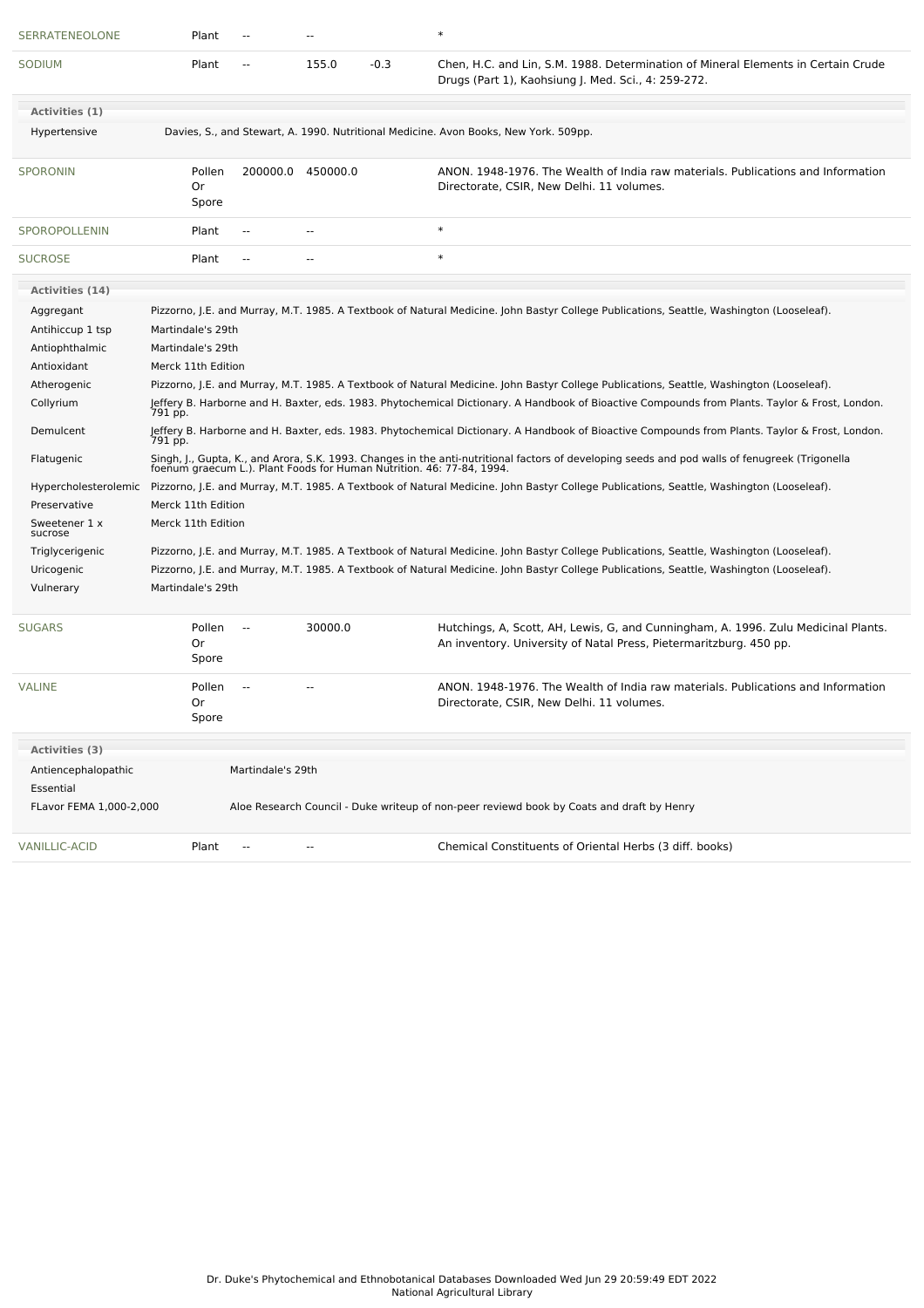| SERRATENEOLONE                   | Plant                                                                                                                                    |                          |                          |        | $\ast$                                                                                                                                                                                                                  |
|----------------------------------|------------------------------------------------------------------------------------------------------------------------------------------|--------------------------|--------------------------|--------|-------------------------------------------------------------------------------------------------------------------------------------------------------------------------------------------------------------------------|
| SODIUM                           | Plant                                                                                                                                    | --                       | 155.0                    | $-0.3$ | Chen, H.C. and Lin, S.M. 1988. Determination of Mineral Elements in Certain Crude<br>Drugs (Part 1), Kaohsiung J. Med. Sci., 4: 259-272.                                                                                |
| Activities (1)                   |                                                                                                                                          |                          |                          |        |                                                                                                                                                                                                                         |
| Hypertensive                     |                                                                                                                                          |                          |                          |        | Davies, S., and Stewart, A. 1990. Nutritional Medicine. Avon Books, New York. 509pp.                                                                                                                                    |
| <b>SPORONIN</b>                  | Pollen<br>0r<br>Spore                                                                                                                    |                          | 200000.0 450000.0        |        | ANON. 1948-1976. The Wealth of India raw materials. Publications and Information<br>Directorate, CSIR, New Delhi. 11 volumes.                                                                                           |
| SPOROPOLLENIN                    | Plant                                                                                                                                    | $\overline{a}$           | $\sim$ $\sim$            |        | $\ast$                                                                                                                                                                                                                  |
| <b>SUCROSE</b>                   | Plant                                                                                                                                    | --                       | $\sim$                   |        | $\ast$                                                                                                                                                                                                                  |
| Activities (14)                  |                                                                                                                                          |                          |                          |        |                                                                                                                                                                                                                         |
| Aggregant                        |                                                                                                                                          |                          |                          |        | Pizzorno, J.E. and Murray, M.T. 1985. A Textbook of Natural Medicine. John Bastyr College Publications, Seattle, Washington (Looseleaf).                                                                                |
| Antihiccup 1 tsp                 | Martindale's 29th                                                                                                                        |                          |                          |        |                                                                                                                                                                                                                         |
| Antiophthalmic                   | Martindale's 29th                                                                                                                        |                          |                          |        |                                                                                                                                                                                                                         |
| Antioxidant                      | Merck 11th Edition                                                                                                                       |                          |                          |        |                                                                                                                                                                                                                         |
| Atherogenic                      |                                                                                                                                          |                          |                          |        | Pizzorno, J.E. and Murray, M.T. 1985. A Textbook of Natural Medicine. John Bastyr College Publications, Seattle, Washington (Looseleaf).                                                                                |
| Collyrium                        | 791 pp.                                                                                                                                  |                          |                          |        | Jeffery B. Harborne and H. Baxter, eds. 1983. Phytochemical Dictionary. A Handbook of Bioactive Compounds from Plants. Taylor & Frost, London.                                                                          |
| Demulcent                        | 791 pp.                                                                                                                                  |                          |                          |        | Jeffery B. Harborne and H. Baxter, eds. 1983. Phytochemical Dictionary. A Handbook of Bioactive Compounds from Plants. Taylor & Frost, London.                                                                          |
| Flatugenic                       |                                                                                                                                          |                          |                          |        | Singh, J., Gupta, K., and Arora, S.K. 1993. Changes in the anti-nutritional factors of developing seeds and pod walls of fenugreek (Trigonella<br>foenum graecum L.). Plant Foods for Human Nutrition. 46: 77-84, 1994. |
| Hypercholesterolemic             |                                                                                                                                          |                          |                          |        | Pizzorno, J.E. and Murray, M.T. 1985. A Textbook of Natural Medicine. John Bastyr College Publications, Seattle, Washington (Looseleaf).                                                                                |
| Preservative                     | Merck 11th Edition                                                                                                                       |                          |                          |        |                                                                                                                                                                                                                         |
| Sweetener 1 x<br>sucrose         | Merck 11th Edition                                                                                                                       |                          |                          |        |                                                                                                                                                                                                                         |
| Triglycerigenic                  |                                                                                                                                          |                          |                          |        | Pizzorno, J.E. and Murray, M.T. 1985. A Textbook of Natural Medicine. John Bastyr College Publications, Seattle, Washington (Looseleaf).                                                                                |
| Uricogenic                       | Pizzorno, J.E. and Murray, M.T. 1985. A Textbook of Natural Medicine. John Bastyr College Publications, Seattle, Washington (Looseleaf). |                          |                          |        |                                                                                                                                                                                                                         |
| Vulnerary                        | Martindale's 29th                                                                                                                        |                          |                          |        |                                                                                                                                                                                                                         |
| <b>SUGARS</b>                    | Pollen<br>Or<br>Spore                                                                                                                    | $\overline{\phantom{a}}$ | 30000.0                  |        | Hutchings, A, Scott, AH, Lewis, G, and Cunningham, A. 1996. Zulu Medicinal Plants.<br>An inventory. University of Natal Press, Pietermaritzburg. 450 pp.                                                                |
| <b>VALINE</b>                    | Pollen<br>0r<br>Spore                                                                                                                    |                          |                          |        | ANON. 1948-1976. The Wealth of India raw materials. Publications and Information<br>Directorate, CSIR, New Delhi. 11 volumes.                                                                                           |
| Activities (3)                   |                                                                                                                                          |                          |                          |        |                                                                                                                                                                                                                         |
| Antiencephalopathic<br>Essential |                                                                                                                                          | Martindale's 29th        |                          |        |                                                                                                                                                                                                                         |
| FLavor FEMA 1,000-2,000          |                                                                                                                                          |                          |                          |        | Aloe Research Council - Duke writeup of non-peer reviewd book by Coats and draft by Henry                                                                                                                               |
| <b>VANILLIC-ACID</b>             | Plant                                                                                                                                    | --                       | $\overline{\phantom{a}}$ |        | Chemical Constituents of Oriental Herbs (3 diff. books)                                                                                                                                                                 |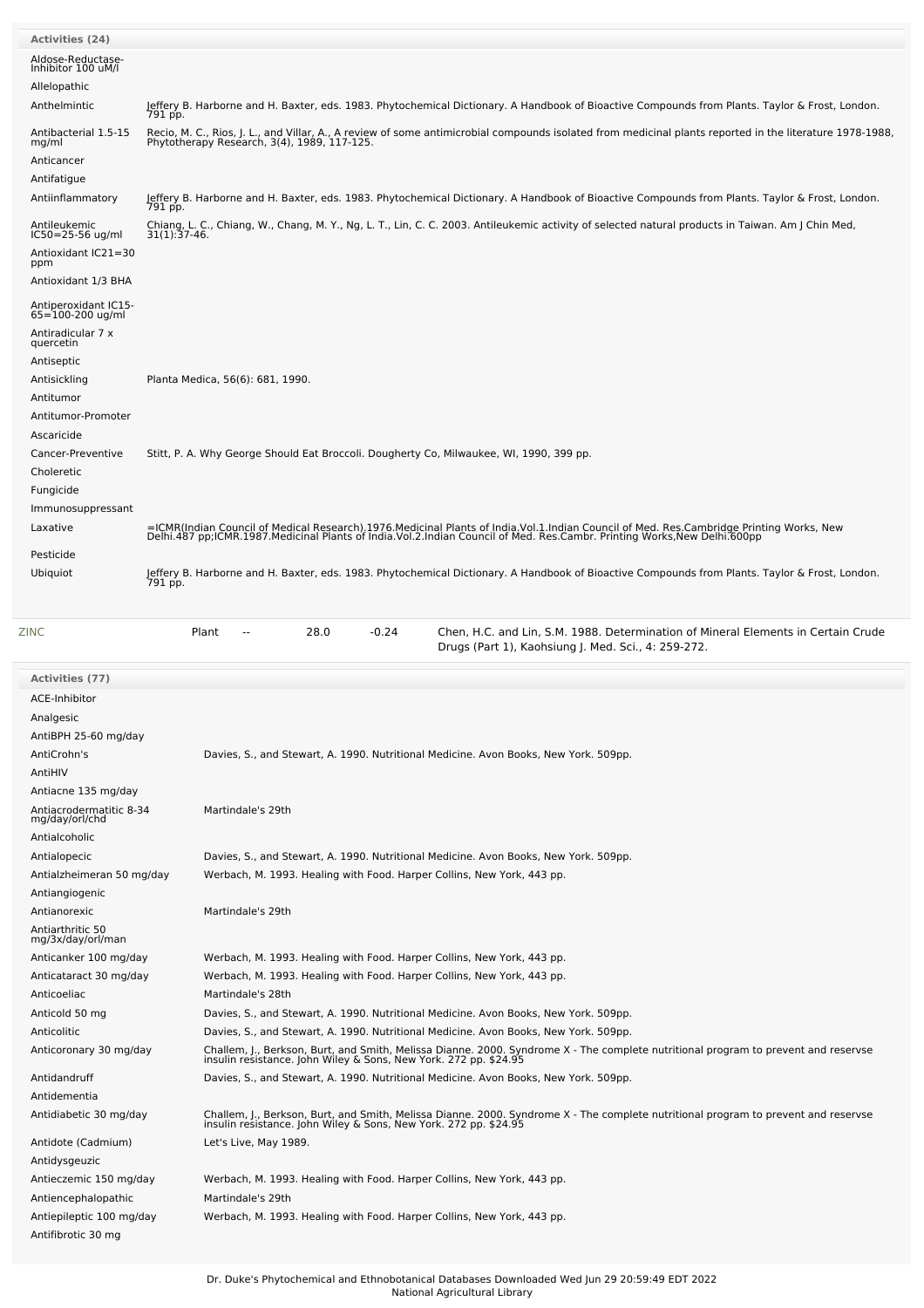| Activities (24)                                 |                                                                                                                                                                                                                                   |
|-------------------------------------------------|-----------------------------------------------------------------------------------------------------------------------------------------------------------------------------------------------------------------------------------|
|                                                 |                                                                                                                                                                                                                                   |
| Aldose-Reductase-<br>Inhibitor 100 uM/l         |                                                                                                                                                                                                                                   |
| Allelopathic                                    |                                                                                                                                                                                                                                   |
| Anthelmintic                                    | Jeffery B. Harborne and H. Baxter, eds. 1983. Phytochemical Dictionary. A Handbook of Bioactive Compounds from Plants. Taylor & Frost, London.<br>791 pp.                                                                         |
| Antibacterial 1.5-15                            | Recio, M. C., Rios, J. L., and Villar, A., A review of some antimicrobial compounds isolated from medicinal plants reported in the literature 1978-1988,                                                                          |
| mg/ml                                           | Phytotherapy Research, 3(4), 1989, 117-125.                                                                                                                                                                                       |
| Anticancer                                      |                                                                                                                                                                                                                                   |
| Antifatigue                                     |                                                                                                                                                                                                                                   |
| Antiinflammatory                                | Jeffery B. Harborne and H. Baxter, eds. 1983. Phytochemical Dictionary. A Handbook of Bioactive Compounds from Plants. Taylor & Frost, London.<br>791 pp.                                                                         |
| Antileukemic                                    | Chiang, L. C., Chiang, W., Chang, M. Y., Ng, L. T., Lin, C. C. 2003. Antileukemic activity of selected natural products in Taiwan. Am J Chin Med,                                                                                 |
| IC50=25-56 ug/ml                                | $31(1):37-46.$                                                                                                                                                                                                                    |
| Antioxidant IC21=30<br>ppm                      |                                                                                                                                                                                                                                   |
| Antioxidant 1/3 BHA                             |                                                                                                                                                                                                                                   |
|                                                 |                                                                                                                                                                                                                                   |
| Antiperoxidant IC15-<br>65=100-200 ug/ml        |                                                                                                                                                                                                                                   |
| Antiradicular 7 x                               |                                                                                                                                                                                                                                   |
| quercetin                                       |                                                                                                                                                                                                                                   |
| Antiseptic<br>Antisickling                      | Planta Medica, 56(6): 681, 1990.                                                                                                                                                                                                  |
| Antitumor                                       |                                                                                                                                                                                                                                   |
| Antitumor-Promoter                              |                                                                                                                                                                                                                                   |
| Ascaricide                                      |                                                                                                                                                                                                                                   |
| Cancer-Preventive                               | Stitt, P. A. Why George Should Eat Broccoli. Dougherty Co, Milwaukee, WI, 1990, 399 pp.                                                                                                                                           |
| Choleretic                                      |                                                                                                                                                                                                                                   |
| Fungicide                                       |                                                                                                                                                                                                                                   |
| Immunosuppressant                               |                                                                                                                                                                                                                                   |
| Laxative                                        | =ICMR(Indian Council of Medical Research).1976.Medicinal Plants of India.Vol.1.Indian Council of Med. Res.Cambridge Printing Works, New<br>Delhi.487 pp;ICMR.1987.Medicinal Plants of India.Vol.2.Indian Council of Med. Res.Camb |
|                                                 |                                                                                                                                                                                                                                   |
| Pesticide                                       |                                                                                                                                                                                                                                   |
| Ubiquiot                                        | Jeffery B. Harborne and H. Baxter, eds. 1983. Phytochemical Dictionary. A Handbook of Bioactive Compounds from Plants. Taylor & Frost, London.<br>791 pp.                                                                         |
|                                                 |                                                                                                                                                                                                                                   |
|                                                 |                                                                                                                                                                                                                                   |
|                                                 |                                                                                                                                                                                                                                   |
| ZINC                                            | Plant<br>28.0<br>$-0.24$<br>Chen, H.C. and Lin, S.M. 1988. Determination of Mineral Elements in Certain Crude<br>$\overline{a}$<br>Drugs (Part 1), Kaohsiung J. Med. Sci., 4: 259-272.                                            |
|                                                 |                                                                                                                                                                                                                                   |
| Activities (77)                                 |                                                                                                                                                                                                                                   |
| ACE-Inhibitor                                   |                                                                                                                                                                                                                                   |
| Analgesic                                       |                                                                                                                                                                                                                                   |
| AntiBPH 25-60 mg/day                            |                                                                                                                                                                                                                                   |
| AntiCrohn's                                     | Davies, S., and Stewart, A. 1990. Nutritional Medicine. Avon Books, New York. 509pp.                                                                                                                                              |
| AntiHIV                                         |                                                                                                                                                                                                                                   |
| Antiacne 135 mg/day                             |                                                                                                                                                                                                                                   |
| Antiacrodermatitic 8-34<br>mg/day/orl/chd       | Martindale's 29th                                                                                                                                                                                                                 |
| Antialcoholic                                   |                                                                                                                                                                                                                                   |
| Antialopecic                                    | Davies, S., and Stewart, A. 1990. Nutritional Medicine. Avon Books, New York. 509pp.                                                                                                                                              |
| Antialzheimeran 50 mg/day                       | Werbach, M. 1993. Healing with Food. Harper Collins, New York, 443 pp.                                                                                                                                                            |
| Antiangiogenic                                  |                                                                                                                                                                                                                                   |
| Antianorexic                                    | Martindale's 29th                                                                                                                                                                                                                 |
| Antiarthritic 50                                |                                                                                                                                                                                                                                   |
| mg/3x/day/orl/man                               |                                                                                                                                                                                                                                   |
| Anticanker 100 mg/day<br>Anticataract 30 mg/day | Werbach, M. 1993. Healing with Food. Harper Collins, New York, 443 pp.                                                                                                                                                            |
| Anticoeliac                                     | Werbach, M. 1993. Healing with Food. Harper Collins, New York, 443 pp.<br>Martindale's 28th                                                                                                                                       |
| Anticold 50 mg                                  | Davies, S., and Stewart, A. 1990. Nutritional Medicine. Avon Books, New York. 509pp.                                                                                                                                              |
| Anticolitic                                     | Davies, S., and Stewart, A. 1990. Nutritional Medicine. Avon Books, New York. 509pp.                                                                                                                                              |
| Anticoronary 30 mg/day                          |                                                                                                                                                                                                                                   |
|                                                 | Challem, J., Berkson, Burt, and Smith, Melissa Dianne. 2000. Syndrome X - The complete nutritional program to prevent and reservse<br>insulin resistance. John Wiley & Sons, New York. 272 pp. \$24.95                            |
| Antidandruff                                    | Davies, S., and Stewart, A. 1990. Nutritional Medicine. Avon Books, New York. 509pp.                                                                                                                                              |
| Antidementia                                    |                                                                                                                                                                                                                                   |
| Antidiabetic 30 mg/day                          | Challem, J., Berkson, Burt, and Smith, Melissa Dianne. 2000. Syndrome X - The complete nutritional program to prevent and reservse<br>insulin resistance. John Wiley & Sons, New York. 272 pp. \$24.95                            |
| Antidote (Cadmium)                              | Let's Live, May 1989.                                                                                                                                                                                                             |
| Antidysgeuzic                                   |                                                                                                                                                                                                                                   |
| Antieczemic 150 mg/day                          | Werbach, M. 1993. Healing with Food. Harper Collins, New York, 443 pp.                                                                                                                                                            |
| Antiencephalopathic                             | Martindale's 29th                                                                                                                                                                                                                 |
| Antiepileptic 100 mg/day                        | Werbach, M. 1993. Healing with Food. Harper Collins, New York, 443 pp.                                                                                                                                                            |